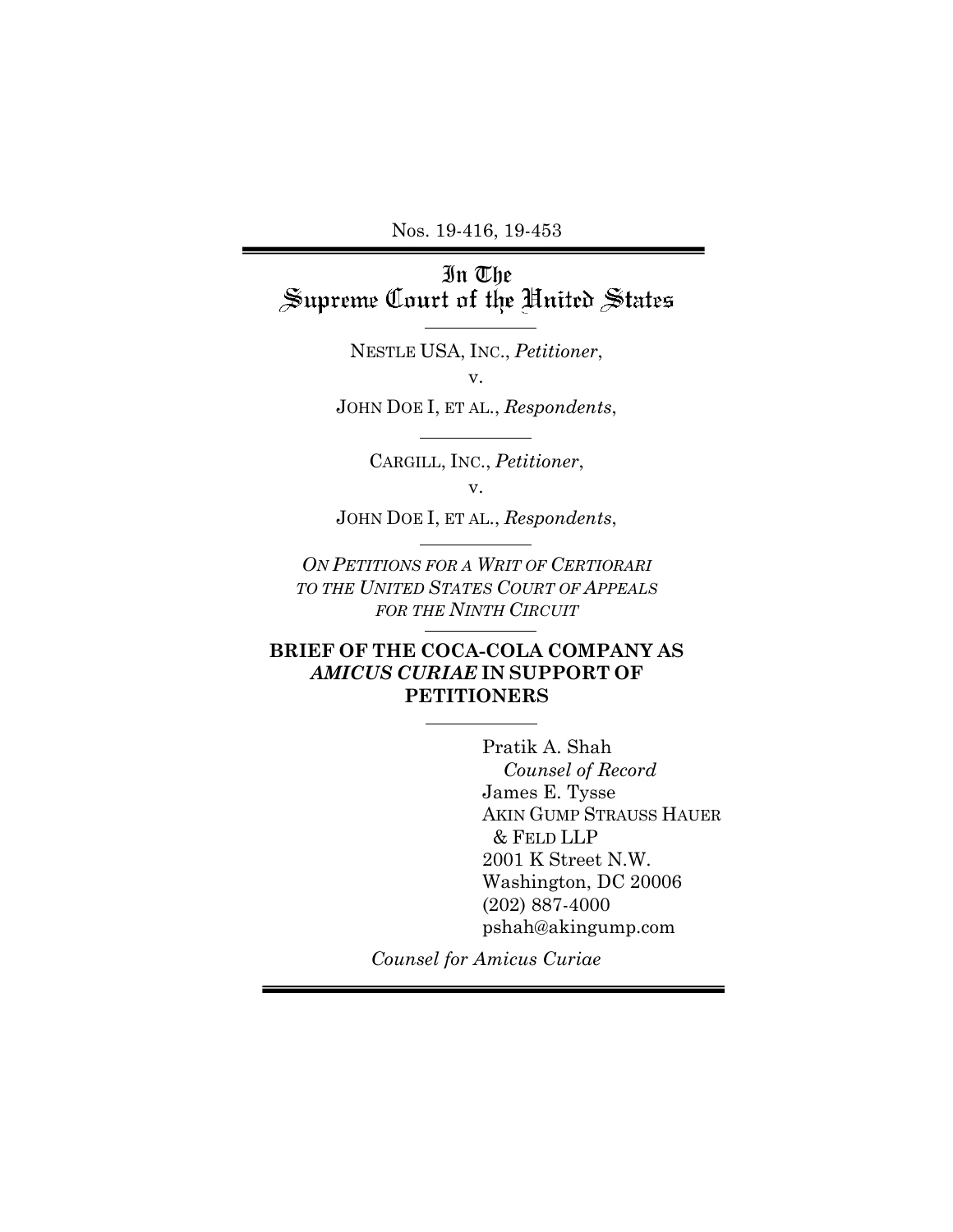Nos. 19-416, 19-453

In The<br>Supreme Court of the United States

NESTLE USA, INC., *Petitioner*, v.

JOHN DOE I, ET AL., *Respondents*,

CARGILL, INC., *Petitioner*,

v.

JOHN DOE I, ET AL., *Respondents*,

*ON PETITIONS FOR A WRIT OF CERTIORARI TO THE UNITED STATES COURT OF APPEALS FOR THE NINTH CIRCUIT*

## **BRIEF OF THE COCA-COLA COMPANY AS** *AMICUS CURIAE* **IN SUPPORT OF PETITIONERS**

Pratik A. Shah *Counsel of Record*  James E. Tysse AKIN GUMP STRAUSS HAUER & FELD LLP 2001 K Street N.W. Washington, DC 20006 (202) 887-4000 pshah@akingump.com

*Counsel for Amicus Curiae*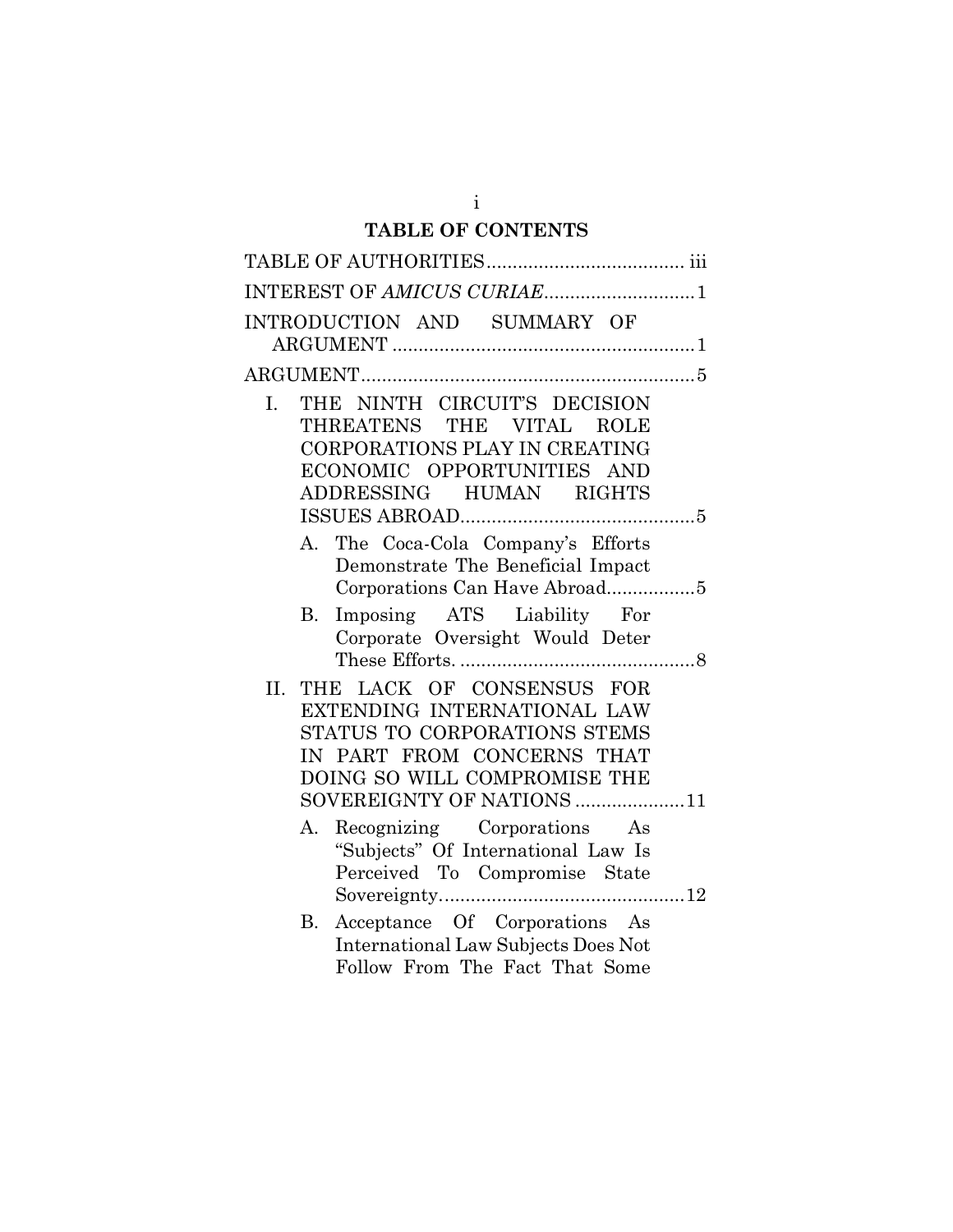# **TABLE OF CONTENTS**

| INTEREST OF AMICUS CURIAE1                                                                                                                                                                 |  |
|--------------------------------------------------------------------------------------------------------------------------------------------------------------------------------------------|--|
| INTRODUCTION AND SUMMARY OF                                                                                                                                                                |  |
|                                                                                                                                                                                            |  |
| THE NINTH CIRCUIT'S DECISION<br>I.<br>THREATENS THE VITAL ROLE<br>CORPORATIONS PLAY IN CREATING<br>ECONOMIC OPPORTUNITIES AND<br>ADDRESSING HUMAN RIGHTS                                   |  |
| The Coca-Cola Company's Efforts<br>А.                                                                                                                                                      |  |
| Demonstrate The Beneficial Impact<br>Corporations Can Have Abroad5<br>Imposing ATS Liability For<br>В.                                                                                     |  |
| Corporate Oversight Would Deter                                                                                                                                                            |  |
| THE LACK OF CONSENSUS FOR<br>II.<br>EXTENDING INTERNATIONAL LAW<br>STATUS TO CORPORATIONS STEMS<br>IN PART FROM CONCERNS THAT<br>DOING SO WILL COMPROMISE THE<br>SOVEREIGNTY OF NATIONS 11 |  |
| Recognizing Corporations As<br>А.<br>"Subjects" Of International Law Is<br>Perceived To Compromise State                                                                                   |  |
| Acceptance Of Corporations As<br>В.<br><b>International Law Subjects Does Not</b><br>Follow From The Fact That Some                                                                        |  |

i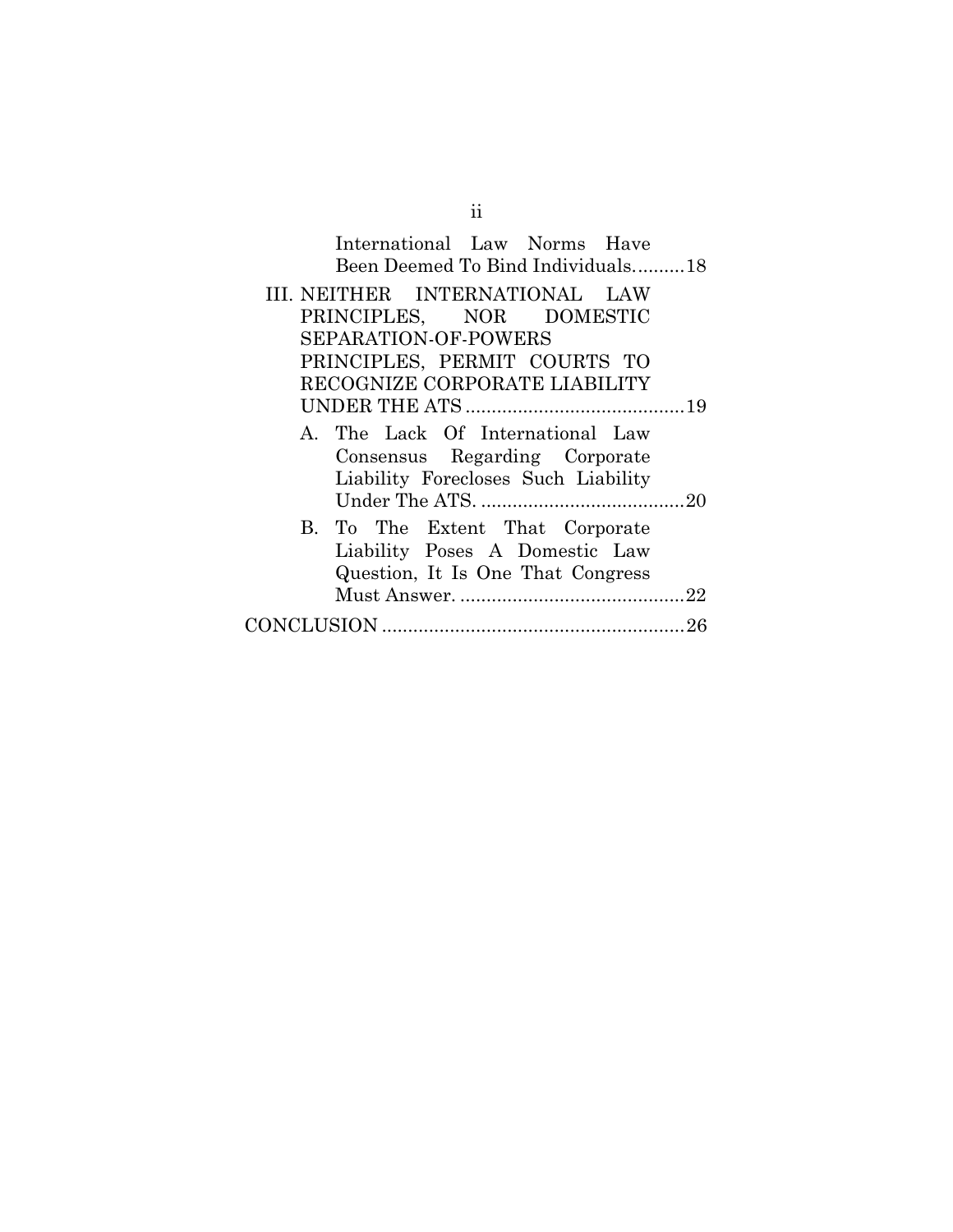| International Law Norms Have<br>Been Deemed To Bind Individuals18 |
|-------------------------------------------------------------------|
| III. NEITHER INTERNATIONAL LAW                                    |
| PRINCIPLES, NOR DOMESTIC                                          |
| SEPARATION-OF-POWERS                                              |
| PRINCIPLES, PERMIT COURTS TO                                      |
| RECOGNIZE CORPORATE LIABILITY                                     |
|                                                                   |
| A. The Lack Of International Law<br>Consensus Regarding Corporate |
| Liability Forecloses Such Liability                               |
|                                                                   |
| B. To The Extent That Corporate                                   |
| Liability Poses A Domestic Law                                    |
| Question, It Is One That Congress                                 |
|                                                                   |
|                                                                   |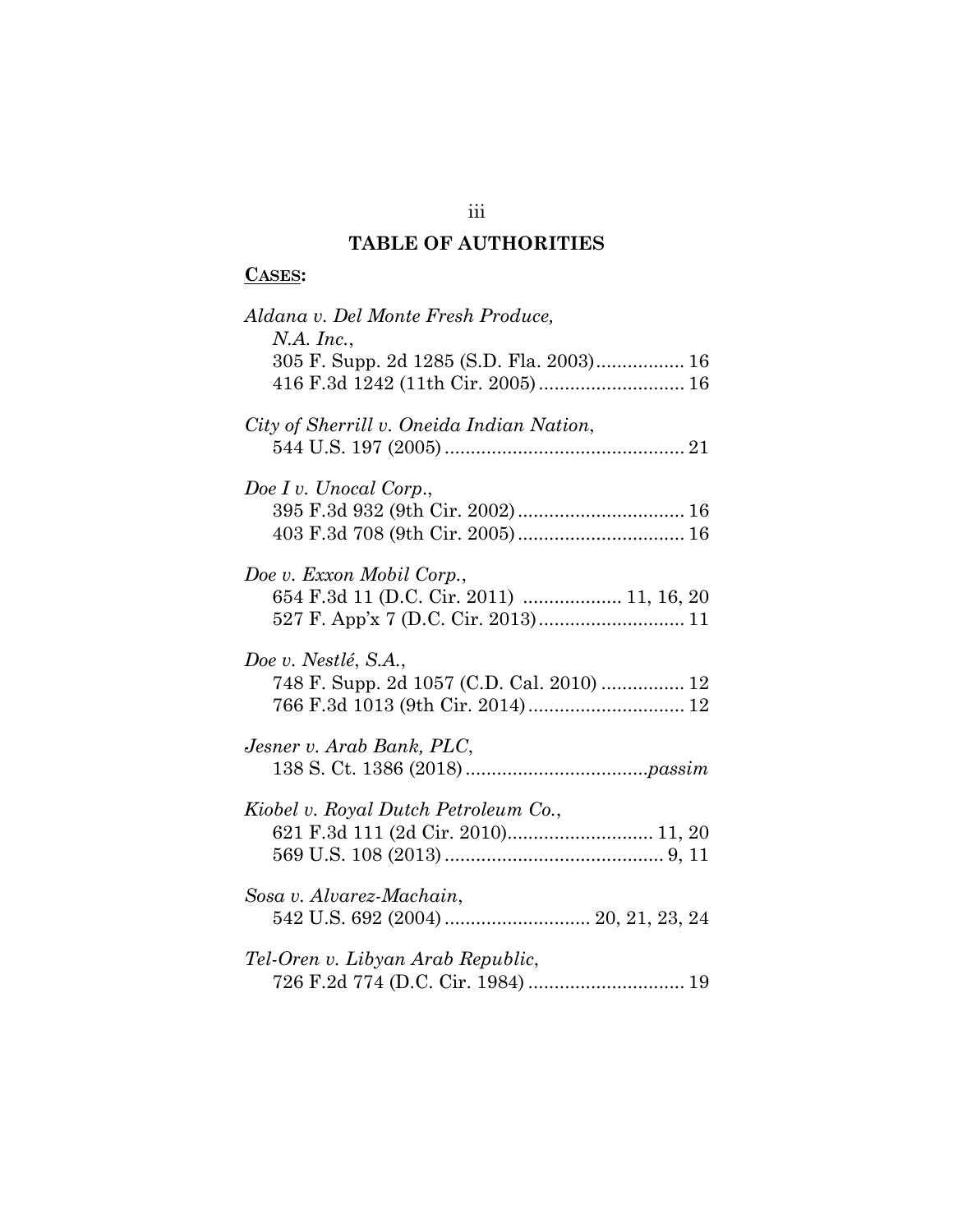# **TABLE OF AUTHORITIES**

## **CASES:**

| Aldana v. Del Monte Fresh Produce,<br>$N.A.$ Inc.,                            |
|-------------------------------------------------------------------------------|
| 305 F. Supp. 2d 1285 (S.D. Fla. 2003) 16<br>416 F.3d 1242 (11th Cir. 2005) 16 |
| City of Sherrill v. Oneida Indian Nation,                                     |
| Doe I v. Unocal Corp.,                                                        |
| Doe v. Exxon Mobil Corp.,<br>654 F.3d 11 (D.C. Cir. 2011)  11, 16, 20         |
| Doe v. Nestlé, S.A.,<br>748 F. Supp. 2d 1057 (C.D. Cal. 2010)  12             |
| Jesner v. Arab Bank, PLC,                                                     |
| Kiobel v. Royal Dutch Petroleum Co.,                                          |
| Sosa v. Alvarez-Machain,                                                      |
| Tel-Oren v. Libyan Arab Republic,                                             |

# iii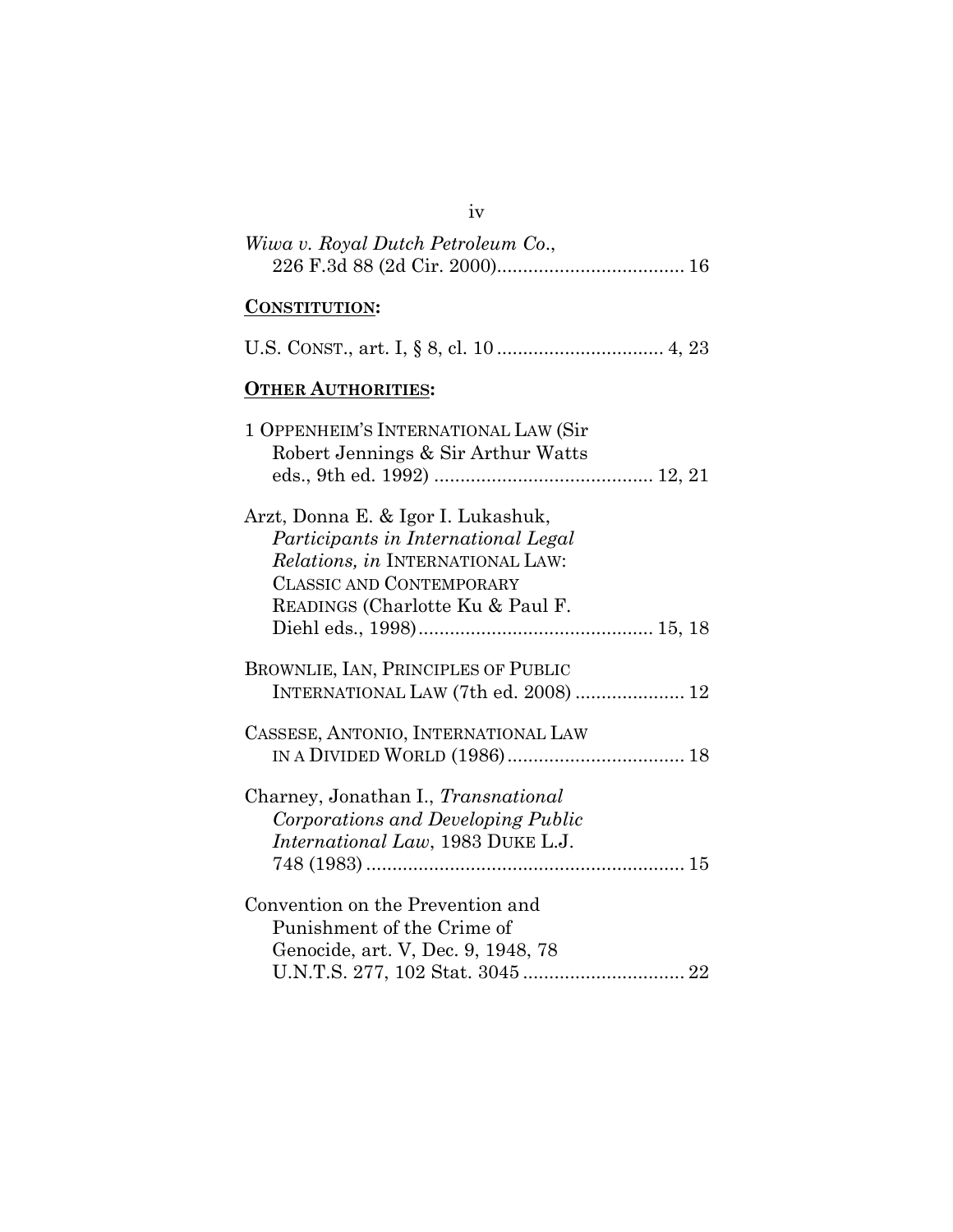| iv                                                                                                                                                                                   |
|--------------------------------------------------------------------------------------------------------------------------------------------------------------------------------------|
| Wiwa v. Royal Dutch Petroleum Co.,                                                                                                                                                   |
| <b>CONSTITUTION:</b>                                                                                                                                                                 |
|                                                                                                                                                                                      |
| <b>OTHER AUTHORITIES:</b>                                                                                                                                                            |
| 1 OPPENHEIM'S INTERNATIONAL LAW (Sir<br>Robert Jennings & Sir Arthur Watts                                                                                                           |
| Arzt, Donna E. & Igor I. Lukashuk,<br>Participants in International Legal<br>Relations, in INTERNATIONAL LAW:<br><b>CLASSIC AND CONTEMPORARY</b><br>READINGS (Charlotte Ku & Paul F. |
| BROWNLIE, IAN, PRINCIPLES OF PUBLIC                                                                                                                                                  |
| INTERNATIONAL LAW (7th ed. 2008)  12                                                                                                                                                 |
| CASSESE, ANTONIO, INTERNATIONAL LAW                                                                                                                                                  |
| Charney, Jonathan I., Transnational<br>Corporations and Developing Public<br>International Law, 1983 DUKE L.J.                                                                       |
| Convention on the Prevention and<br>Punishment of the Crime of<br>Genocide, art. V, Dec. 9, 1948, 78                                                                                 |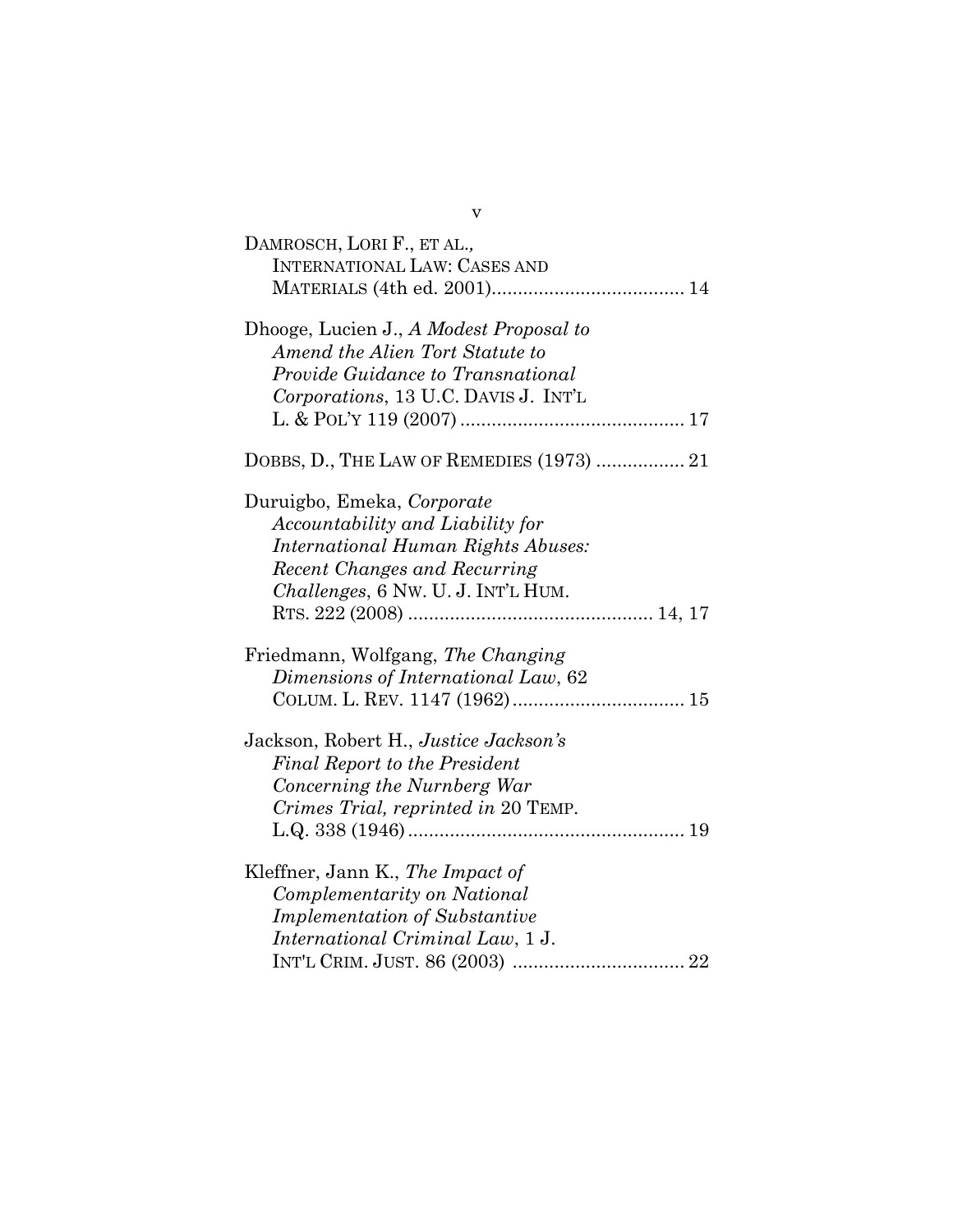| DAMROSCH, LORI F., ET AL.,<br><b>INTERNATIONAL LAW: CASES AND</b>                                                                                                          |
|----------------------------------------------------------------------------------------------------------------------------------------------------------------------------|
| Dhooge, Lucien J., A Modest Proposal to<br>Amend the Alien Tort Statute to<br>Provide Guidance to Transnational<br>Corporations, 13 U.C. DAVIS J. INT'L                    |
| DOBBS, D., THE LAW OF REMEDIES (1973)  21                                                                                                                                  |
| Duruigbo, Emeka, Corporate<br>Accountability and Liability for<br>International Human Rights Abuses:<br>Recent Changes and Recurring<br>Challenges, 6 Nw. U. J. INT'L HUM. |
| Friedmann, Wolfgang, The Changing<br>Dimensions of International Law, 62                                                                                                   |
| Jackson, Robert H., Justice Jackson's<br><b>Final Report to the President</b><br>Concerning the Nurnberg War<br>Crimes Trial, reprinted in 20 TEMP.                        |
| Kleffner, Jann K., The Impact of<br>Complementarity on National<br><b>Implementation of Substantive</b><br>International Criminal Law, 1 J.                                |

v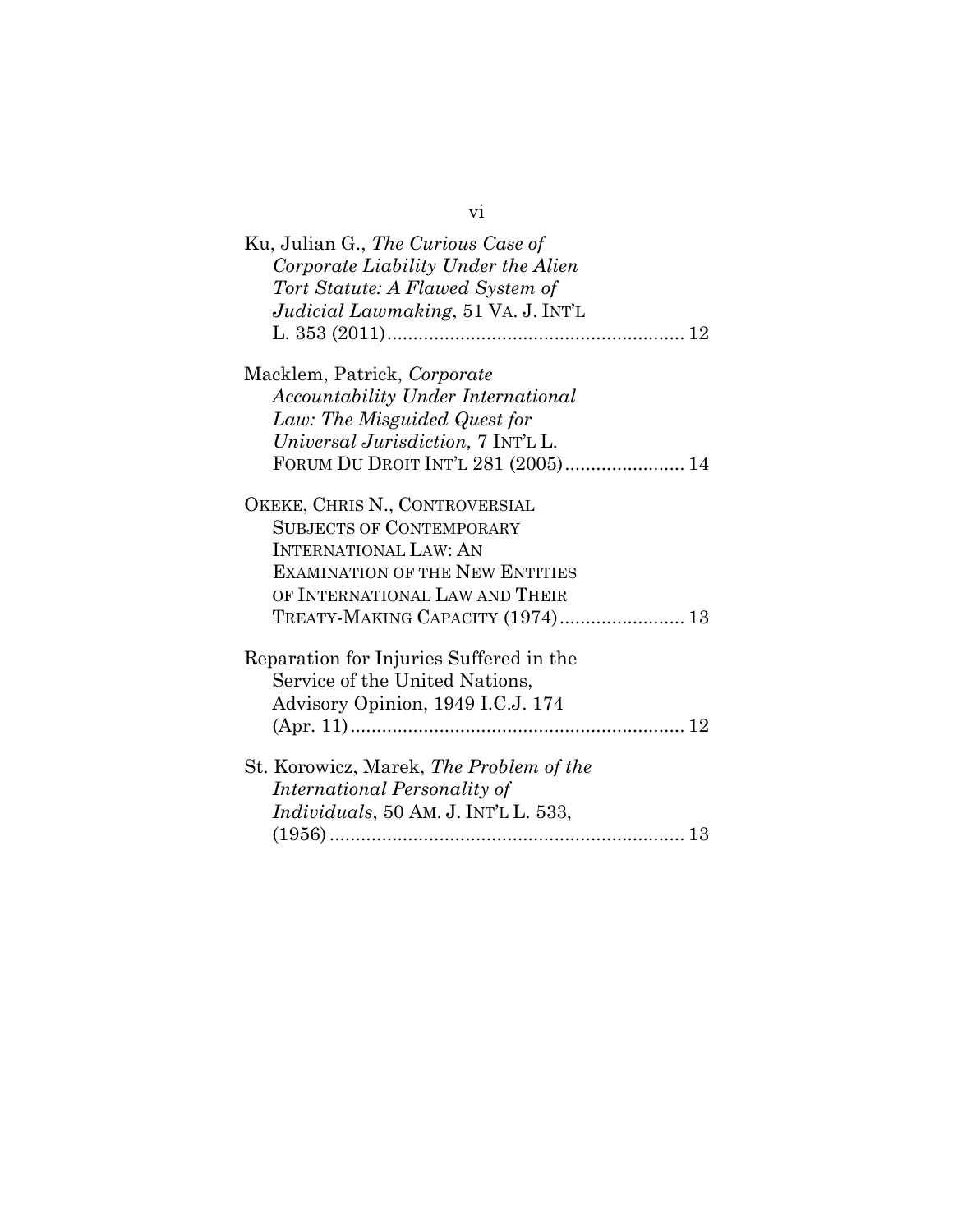| Ku, Julian G., The Curious Case of<br>Corporate Liability Under the Alien<br>Tort Statute: A Flawed System of<br>Judicial Lawmaking, 51 VA. J. INT'L |
|------------------------------------------------------------------------------------------------------------------------------------------------------|
| Macklem, Patrick, Corporate                                                                                                                          |
| Accountability Under International                                                                                                                   |
| Law: The Misguided Quest for                                                                                                                         |
| Universal Jurisdiction, 7 INT'L L.                                                                                                                   |
| FORUM DU DROIT INT'L 281 (2005) 14                                                                                                                   |
| OKEKE, CHRIS N., CONTROVERSIAL                                                                                                                       |
| <b>SUBJECTS OF CONTEMPORARY</b>                                                                                                                      |
| <b>INTERNATIONAL LAW: AN</b>                                                                                                                         |
| <b>EXAMINATION OF THE NEW ENTITIES</b>                                                                                                               |
| OF INTERNATIONAL LAW AND THEIR                                                                                                                       |
| TREATY-MAKING CAPACITY (1974) 13                                                                                                                     |
| Reparation for Injuries Suffered in the                                                                                                              |
| Service of the United Nations,                                                                                                                       |
| Advisory Opinion, 1949 I.C.J. 174                                                                                                                    |
|                                                                                                                                                      |
| St. Korowicz, Marek, The Problem of the                                                                                                              |
| International Personality of                                                                                                                         |
| Individuals, 50 AM. J. INT'L L. 533,                                                                                                                 |
|                                                                                                                                                      |

# vi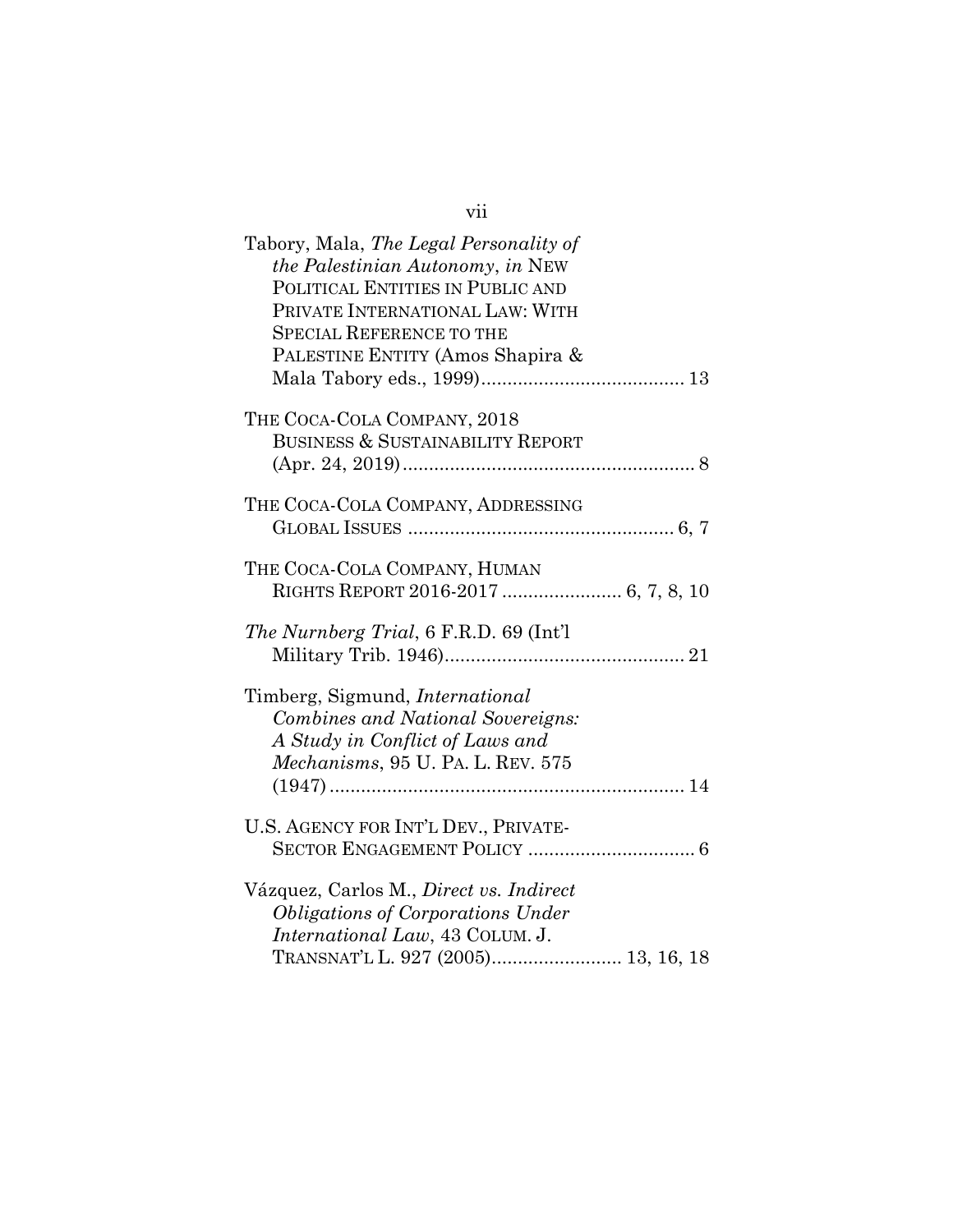| Tabory, Mala, The Legal Personality of<br>the Palestinian Autonomy, in NEW<br>POLITICAL ENTITIES IN PUBLIC AND<br>PRIVATE INTERNATIONAL LAW: WITH<br><b>SPECIAL REFERENCE TO THE</b><br>PALESTINE ENTITY (Amos Shapira & |
|--------------------------------------------------------------------------------------------------------------------------------------------------------------------------------------------------------------------------|
| THE COCA-COLA COMPANY, 2018                                                                                                                                                                                              |
| BUSINESS & SUSTAINABILITY REPORT                                                                                                                                                                                         |
| THE COCA-COLA COMPANY, ADDRESSING                                                                                                                                                                                        |
| THE COCA-COLA COMPANY, HUMAN                                                                                                                                                                                             |
| The Nurnberg Trial, 6 F.R.D. 69 (Int'l                                                                                                                                                                                   |
| Timberg, Sigmund, <i>International</i><br><b>Combines and National Sovereigns:</b><br>A Study in Conflict of Laws and<br>Mechanisms, 95 U. PA. L. REV. 575                                                               |
|                                                                                                                                                                                                                          |
| U.S. AGENCY FOR INT'L DEV., PRIVATE-                                                                                                                                                                                     |
| Vázquez, Carlos M., Direct vs. Indirect<br><b>Obligations of Corporations Under</b>                                                                                                                                      |
| International Law, 43 COLUM. J.<br>TRANSNAT'L L. 927 (2005) 13, 16, 18                                                                                                                                                   |

vii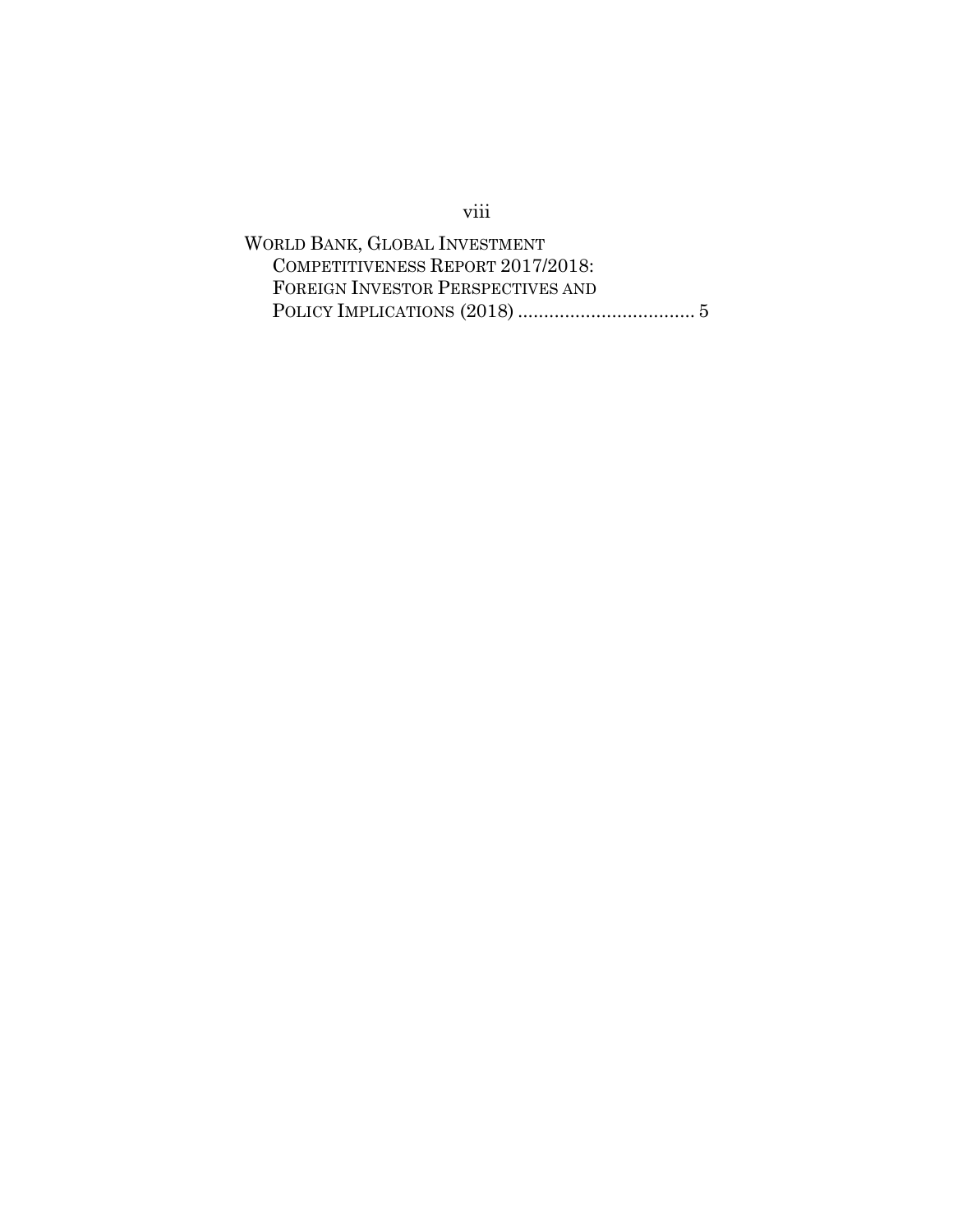# viii

WORLD BANK, GLOBAL INVESTMENT COMPETITIVENESS REPORT 2017/2018: FOREIGN INVESTOR PERSPECTIVES AND POLICY IMPLICATIONS (2018) .................................. 5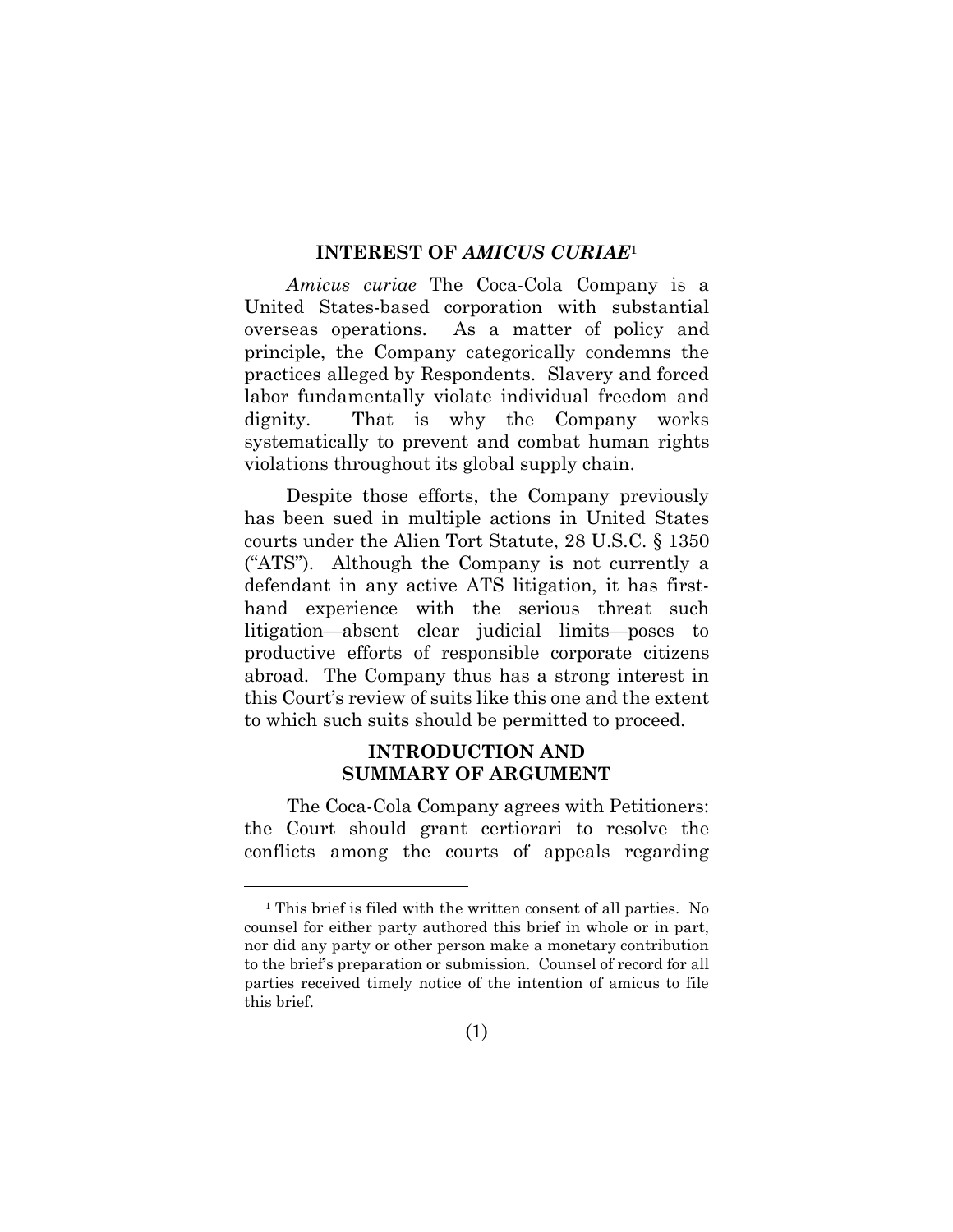#### **INTEREST OF** *AMICUS CURIAE*<sup>1</sup>

*Amicus curiae* The Coca-Cola Company is a United States-based corporation with substantial overseas operations. As a matter of policy and principle, the Company categorically condemns the practices alleged by Respondents. Slavery and forced labor fundamentally violate individual freedom and dignity. That is why the Company works systematically to prevent and combat human rights violations throughout its global supply chain.

Despite those efforts, the Company previously has been sued in multiple actions in United States courts under the Alien Tort Statute, 28 U.S.C. § 1350 ("ATS"). Although the Company is not currently a defendant in any active ATS litigation, it has firsthand experience with the serious threat such litigation—absent clear judicial limits—poses to productive efforts of responsible corporate citizens abroad. The Company thus has a strong interest in this Court's review of suits like this one and the extent to which such suits should be permitted to proceed.

#### **INTRODUCTION AND SUMMARY OF ARGUMENT**

The Coca-Cola Company agrees with Petitioners: the Court should grant certiorari to resolve the conflicts among the courts of appeals regarding

<sup>1</sup> This brief is filed with the written consent of all parties. No counsel for either party authored this brief in whole or in part, nor did any party or other person make a monetary contribution to the brief's preparation or submission. Counsel of record for all parties received timely notice of the intention of amicus to file this brief.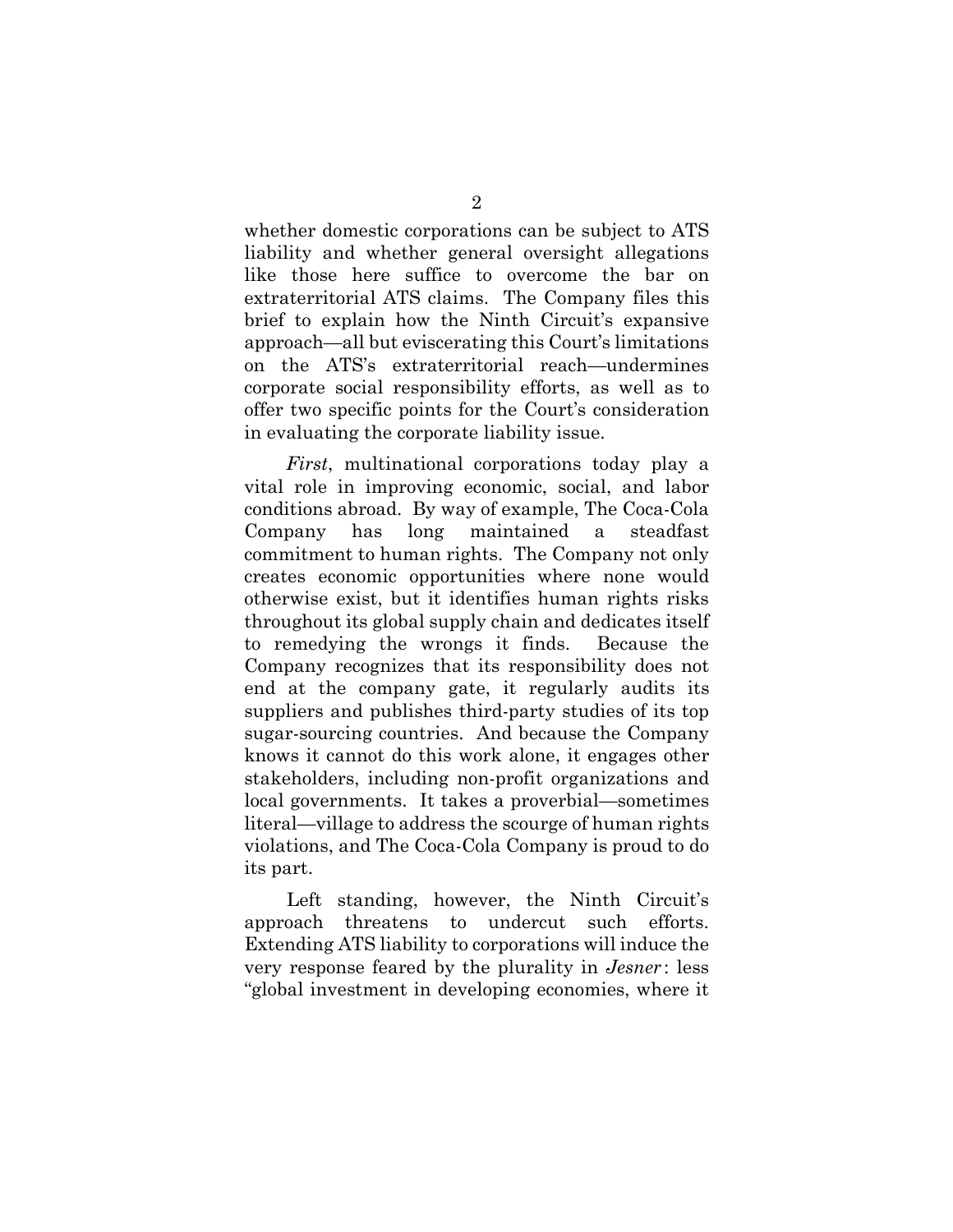whether domestic corporations can be subject to ATS liability and whether general oversight allegations like those here suffice to overcome the bar on extraterritorial ATS claims. The Company files this brief to explain how the Ninth Circuit's expansive approach—all but eviscerating this Court's limitations on the ATS's extraterritorial reach—undermines corporate social responsibility efforts, as well as to offer two specific points for the Court's consideration in evaluating the corporate liability issue.

*First*, multinational corporations today play a vital role in improving economic, social, and labor conditions abroad. By way of example, The Coca-Cola Company has long maintained a steadfast commitment to human rights. The Company not only creates economic opportunities where none would otherwise exist, but it identifies human rights risks throughout its global supply chain and dedicates itself to remedying the wrongs it finds. Because the Company recognizes that its responsibility does not end at the company gate, it regularly audits its suppliers and publishes third-party studies of its top sugar-sourcing countries. And because the Company knows it cannot do this work alone, it engages other stakeholders, including non-profit organizations and local governments. It takes a proverbial—sometimes literal—village to address the scourge of human rights violations, and The Coca-Cola Company is proud to do its part.

 Left standing, however, the Ninth Circuit's approach threatens to undercut such efforts. Extending ATS liability to corporations will induce the very response feared by the plurality in *Jesner* : less "global investment in developing economies, where it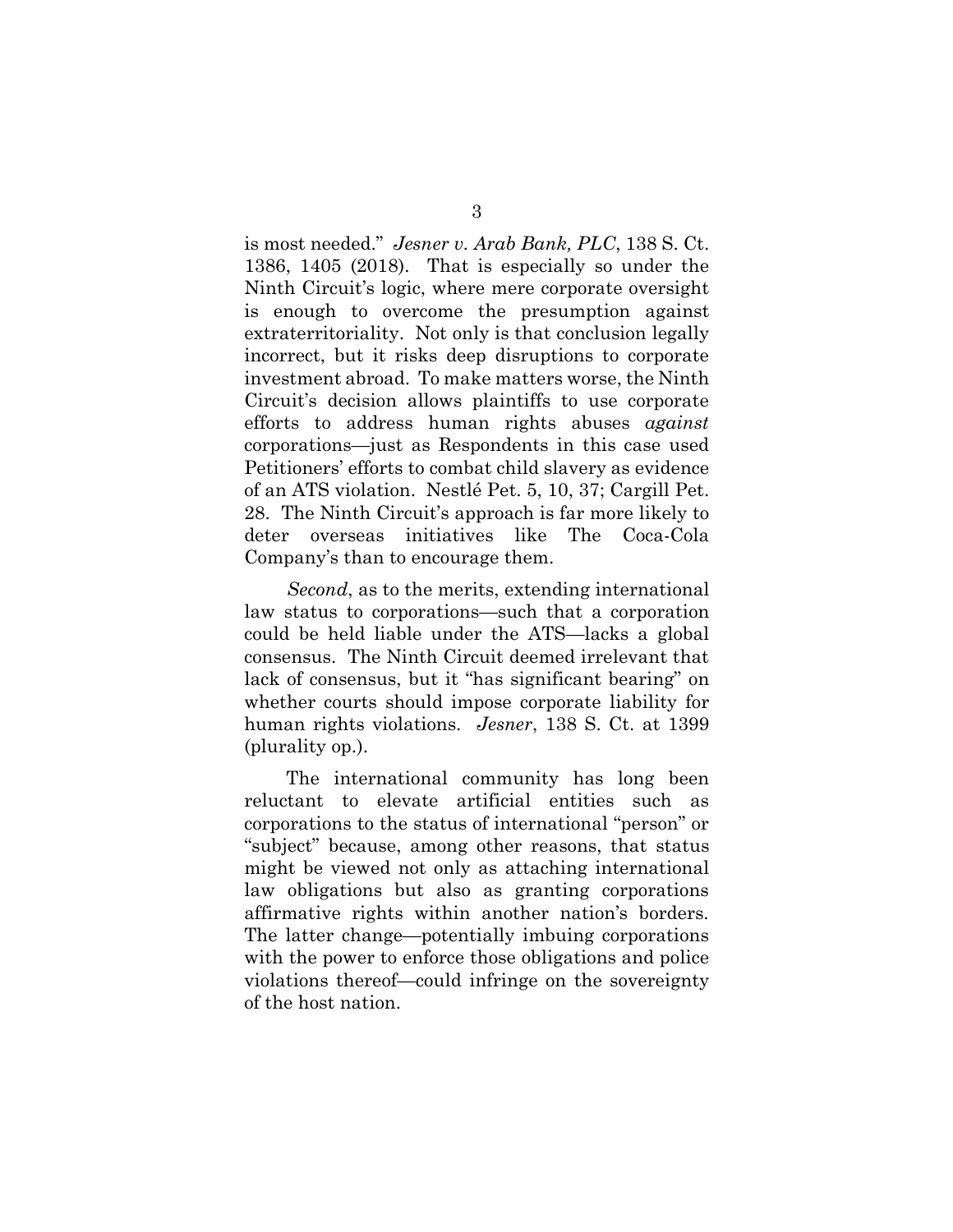is most needed." *Jesner v. Arab Bank, PLC*, 138 S. Ct. 1386, 1405 (2018). That is especially so under the Ninth Circuit's logic, where mere corporate oversight is enough to overcome the presumption against extraterritoriality. Not only is that conclusion legally incorrect, but it risks deep disruptions to corporate investment abroad. To make matters worse, the Ninth Circuit's decision allows plaintiffs to use corporate efforts to address human rights abuses *against*  corporations—just as Respondents in this case used Petitioners' efforts to combat child slavery as evidence of an ATS violation. Nestlé Pet. 5, 10, 37; Cargill Pet. 28. The Ninth Circuit's approach is far more likely to deter overseas initiatives like The Coca-Cola Company's than to encourage them.

*Second*, as to the merits, extending international law status to corporations—such that a corporation could be held liable under the ATS—lacks a global consensus. The Ninth Circuit deemed irrelevant that lack of consensus, but it "has significant bearing" on whether courts should impose corporate liability for human rights violations. *Jesner*, 138 S. Ct. at 1399 (plurality op.).

The international community has long been reluctant to elevate artificial entities such as corporations to the status of international "person" or "subject" because, among other reasons, that status might be viewed not only as attaching international law obligations but also as granting corporations affirmative rights within another nation's borders. The latter change—potentially imbuing corporations with the power to enforce those obligations and police violations thereof—could infringe on the sovereignty of the host nation.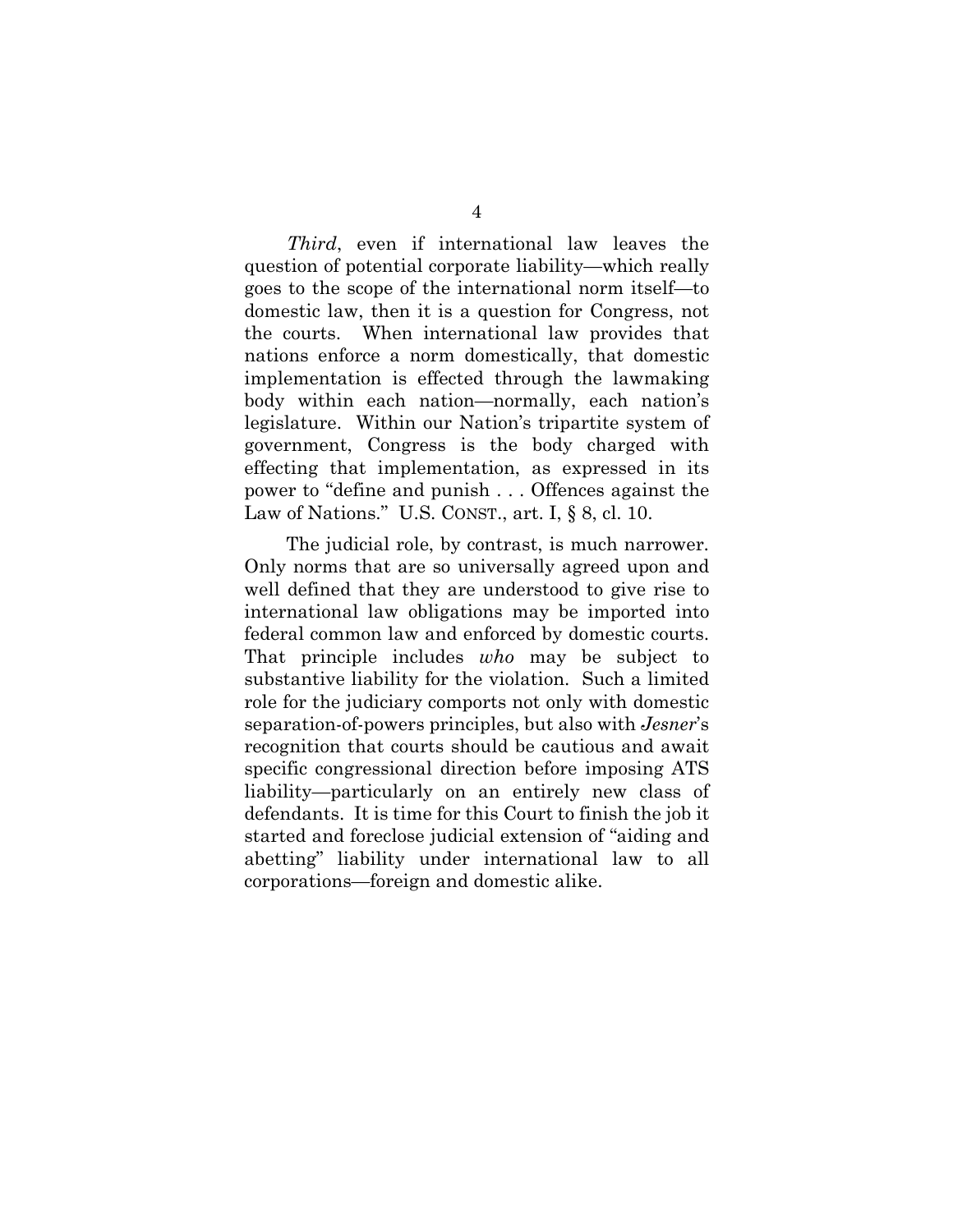*Third*, even if international law leaves the question of potential corporate liability—which really goes to the scope of the international norm itself—to domestic law, then it is a question for Congress, not the courts. When international law provides that nations enforce a norm domestically, that domestic implementation is effected through the lawmaking body within each nation—normally, each nation's legislature. Within our Nation's tripartite system of government, Congress is the body charged with effecting that implementation, as expressed in its power to "define and punish . . . Offences against the Law of Nations." U.S. CONST., art. I, § 8, cl. 10.

The judicial role, by contrast, is much narrower. Only norms that are so universally agreed upon and well defined that they are understood to give rise to international law obligations may be imported into federal common law and enforced by domestic courts. That principle includes *who* may be subject to substantive liability for the violation. Such a limited role for the judiciary comports not only with domestic separation-of-powers principles, but also with *Jesner*'s recognition that courts should be cautious and await specific congressional direction before imposing ATS liability—particularly on an entirely new class of defendants. It is time for this Court to finish the job it started and foreclose judicial extension of "aiding and abetting" liability under international law to all corporations—foreign and domestic alike.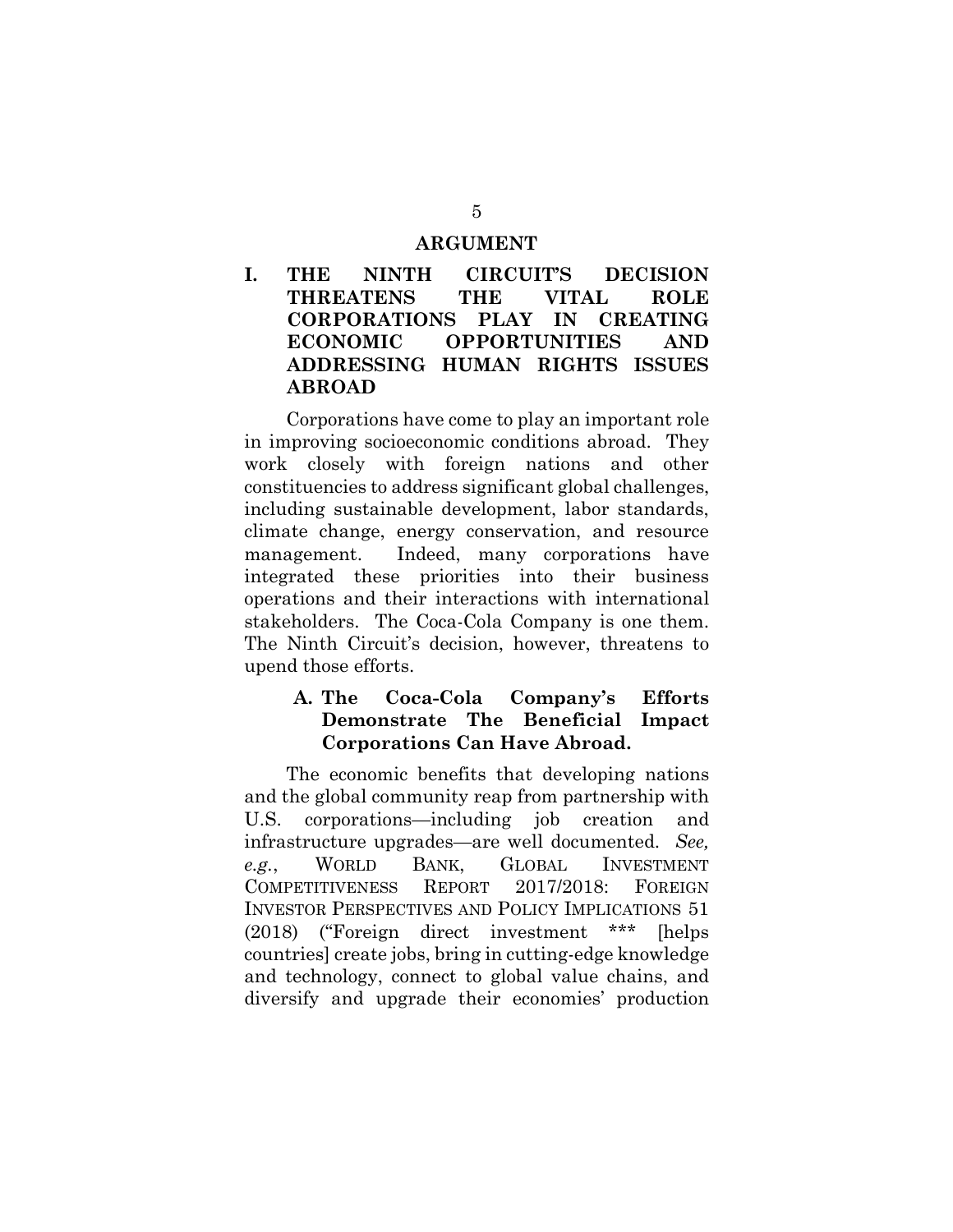#### **ARGUMENT**

**I. THE NINTH CIRCUIT'S DECISION THREATENS THE VITAL ROLE CORPORATIONS PLAY IN CREATING ECONOMIC OPPORTUNITIES AND ADDRESSING HUMAN RIGHTS ISSUES ABROAD** 

Corporations have come to play an important role in improving socioeconomic conditions abroad. They work closely with foreign nations and other constituencies to address significant global challenges, including sustainable development, labor standards, climate change, energy conservation, and resource management. Indeed, many corporations have integrated these priorities into their business operations and their interactions with international stakeholders. The Coca-Cola Company is one them. The Ninth Circuit's decision, however, threatens to upend those efforts.

#### **A. The Coca-Cola Company's Efforts Demonstrate The Beneficial Impact Corporations Can Have Abroad.**

The economic benefits that developing nations and the global community reap from partnership with U.S. corporations—including job creation and infrastructure upgrades—are well documented. *See, e.g.*, WORLD BANK, GLOBAL INVESTMENT COMPETITIVENESS REPORT 2017/2018: FOREIGN INVESTOR PERSPECTIVES AND POLICY IMPLICATIONS 51 (2018) ("Foreign direct investment \*\*\* [helps countries] create jobs, bring in cutting-edge knowledge and technology, connect to global value chains, and diversify and upgrade their economies' production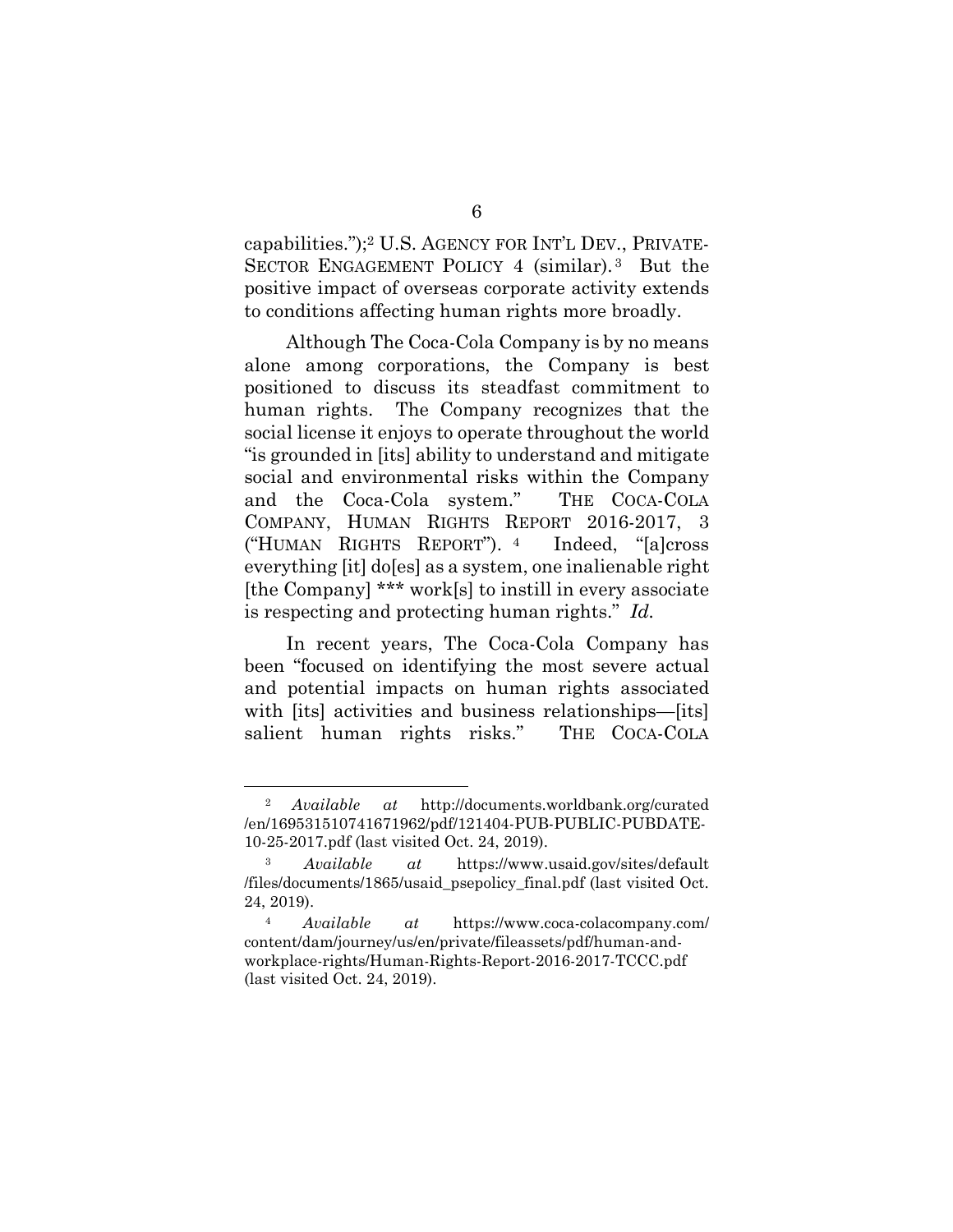capabilities.");2 U.S. AGENCY FOR INT'L DEV., PRIVATE-SECTOR ENGAGEMENT POLICY 4 (similar).<sup>3</sup> But the positive impact of overseas corporate activity extends to conditions affecting human rights more broadly.

Although The Coca-Cola Company is by no means alone among corporations, the Company is best positioned to discuss its steadfast commitment to human rights. The Company recognizes that the social license it enjoys to operate throughout the world "is grounded in [its] ability to understand and mitigate social and environmental risks within the Company and the Coca-Cola system." THE COCA-COLA COMPANY, HUMAN RIGHTS REPORT 2016-2017, 3 ("HUMAN RIGHTS REPORT"). <sup>4</sup> Indeed, "[a]cross everything [it] do[es] as a system, one inalienable right [the Company] \*\*\* work[s] to instill in every associate is respecting and protecting human rights." *Id.* 

In recent years, The Coca-Cola Company has been "focused on identifying the most severe actual and potential impacts on human rights associated with [its] activities and business relationships—[its] salient human rights risks." THE COCA-COLA

<sup>2</sup> *Available at* http://documents.worldbank.org/curated /en/169531510741671962/pdf/121404-PUB-PUBLIC-PUBDATE-10-25-2017.pdf (last visited Oct. 24, 2019).

<sup>3</sup> *Available at* https://www.usaid.gov/sites/default /files/documents/1865/usaid\_psepolicy\_final.pdf (last visited Oct. 24, 2019).

<sup>4</sup> *Available at* https://www.coca-colacompany.com/ content/dam/journey/us/en/private/fileassets/pdf/human-andworkplace-rights/Human-Rights-Report-2016-2017-TCCC.pdf (last visited Oct. 24, 2019).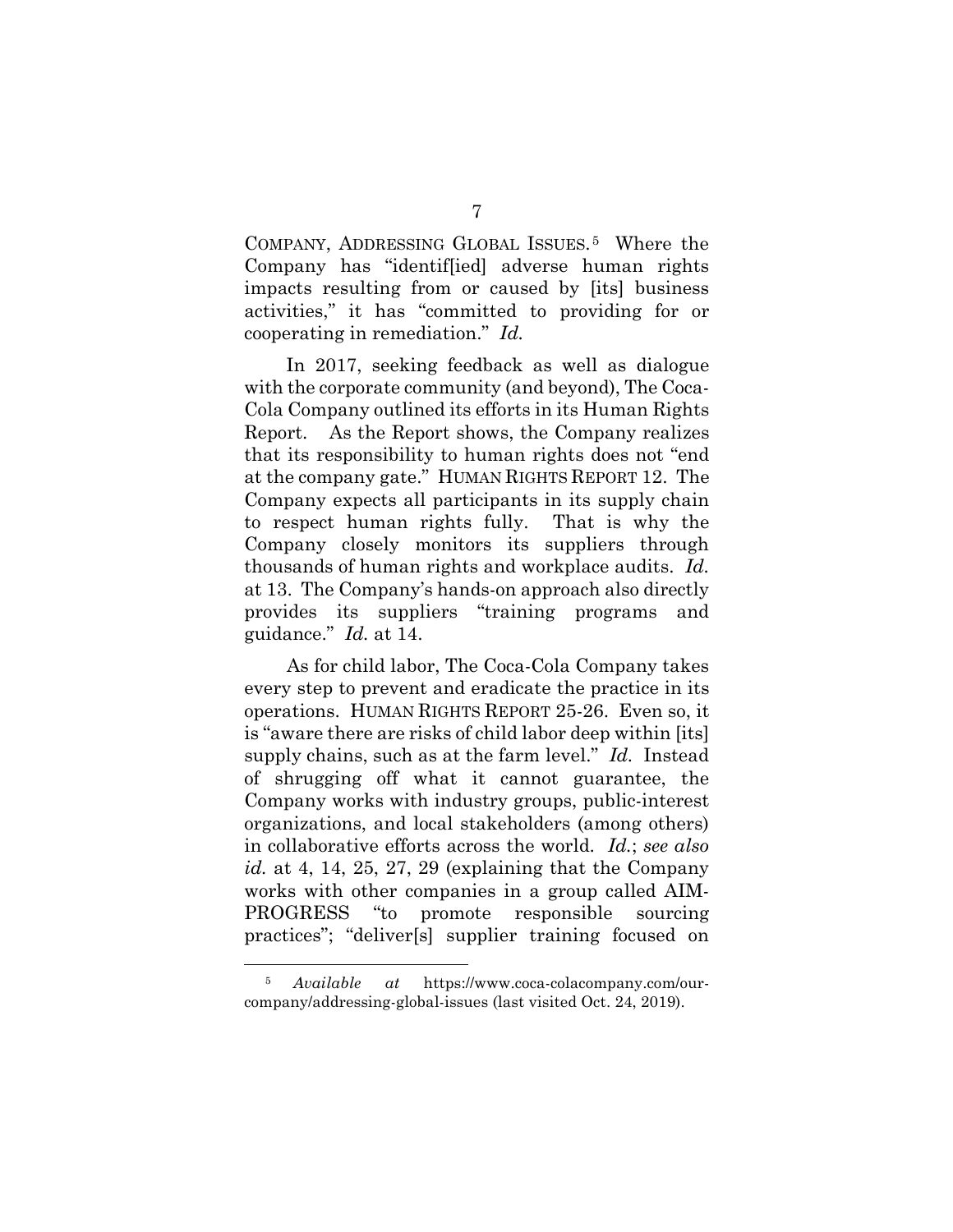COMPANY, ADDRESSING GLOBAL ISSUES. <sup>5</sup> Where the Company has "identif[ied] adverse human rights impacts resulting from or caused by [its] business activities," it has "committed to providing for or cooperating in remediation." *Id.*

In 2017, seeking feedback as well as dialogue with the corporate community (and beyond), The Coca-Cola Company outlined its efforts in its Human Rights Report. As the Report shows, the Company realizes that its responsibility to human rights does not "end at the company gate." HUMAN RIGHTS REPORT 12. The Company expects all participants in its supply chain to respect human rights fully. That is why the Company closely monitors its suppliers through thousands of human rights and workplace audits. *Id.* at 13. The Company's hands-on approach also directly provides its suppliers "training programs and guidance." *Id.* at 14.

 As for child labor, The Coca-Cola Company takes every step to prevent and eradicate the practice in its operations. HUMAN RIGHTS REPORT 25-26. Even so, it is "aware there are risks of child labor deep within [its] supply chains, such as at the farm level." *Id.* Instead of shrugging off what it cannot guarantee, the Company works with industry groups, public-interest organizations, and local stakeholders (among others) in collaborative efforts across the world. *Id.*; *see also id.* at 4, 14, 25, 27, 29 (explaining that the Company works with other companies in a group called AIM-PROGRESS "to promote responsible sourcing practices"; "deliver[s] supplier training focused on

<sup>5</sup> *Available at* https://www.coca-colacompany.com/ourcompany/addressing-global-issues (last visited Oct. 24, 2019).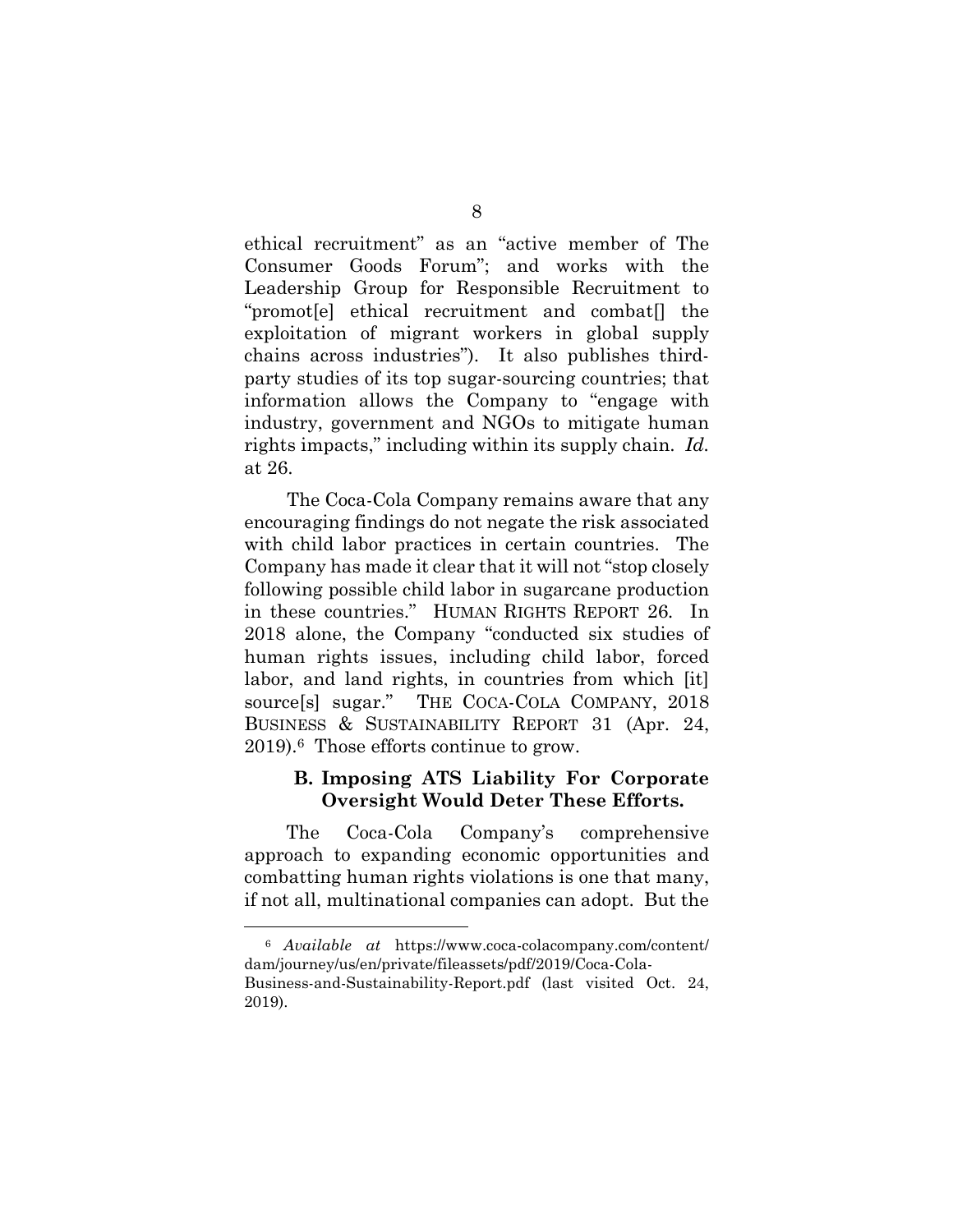ethical recruitment" as an "active member of The Consumer Goods Forum"; and works with the Leadership Group for Responsible Recruitment to "promot[e] ethical recruitment and combat[] the exploitation of migrant workers in global supply chains across industries"). It also publishes thirdparty studies of its top sugar-sourcing countries; that information allows the Company to "engage with industry, government and NGOs to mitigate human rights impacts," including within its supply chain. *Id.*  at 26.

 The Coca-Cola Company remains aware that any encouraging findings do not negate the risk associated with child labor practices in certain countries. The Company has made it clear that it will not "stop closely following possible child labor in sugarcane production in these countries." HUMAN RIGHTS REPORT 26*.* In 2018 alone, the Company "conducted six studies of human rights issues, including child labor, forced labor, and land rights, in countries from which [it] source[s] sugar." THE COCA-COLA COMPANY, 2018 BUSINESS & SUSTAINABILITY REPORT 31 (Apr. 24, 2019).6 Those efforts continue to grow.

### **B. Imposing ATS Liability For Corporate Oversight Would Deter These Efforts.**

The Coca-Cola Company's comprehensive approach to expanding economic opportunities and combatting human rights violations is one that many, if not all, multinational companies can adopt. But the

<sup>6</sup> *Available at* https://www.coca-colacompany.com/content/ dam/journey/us/en/private/fileassets/pdf/2019/Coca-Cola-

Business-and-Sustainability-Report.pdf (last visited Oct. 24, 2019).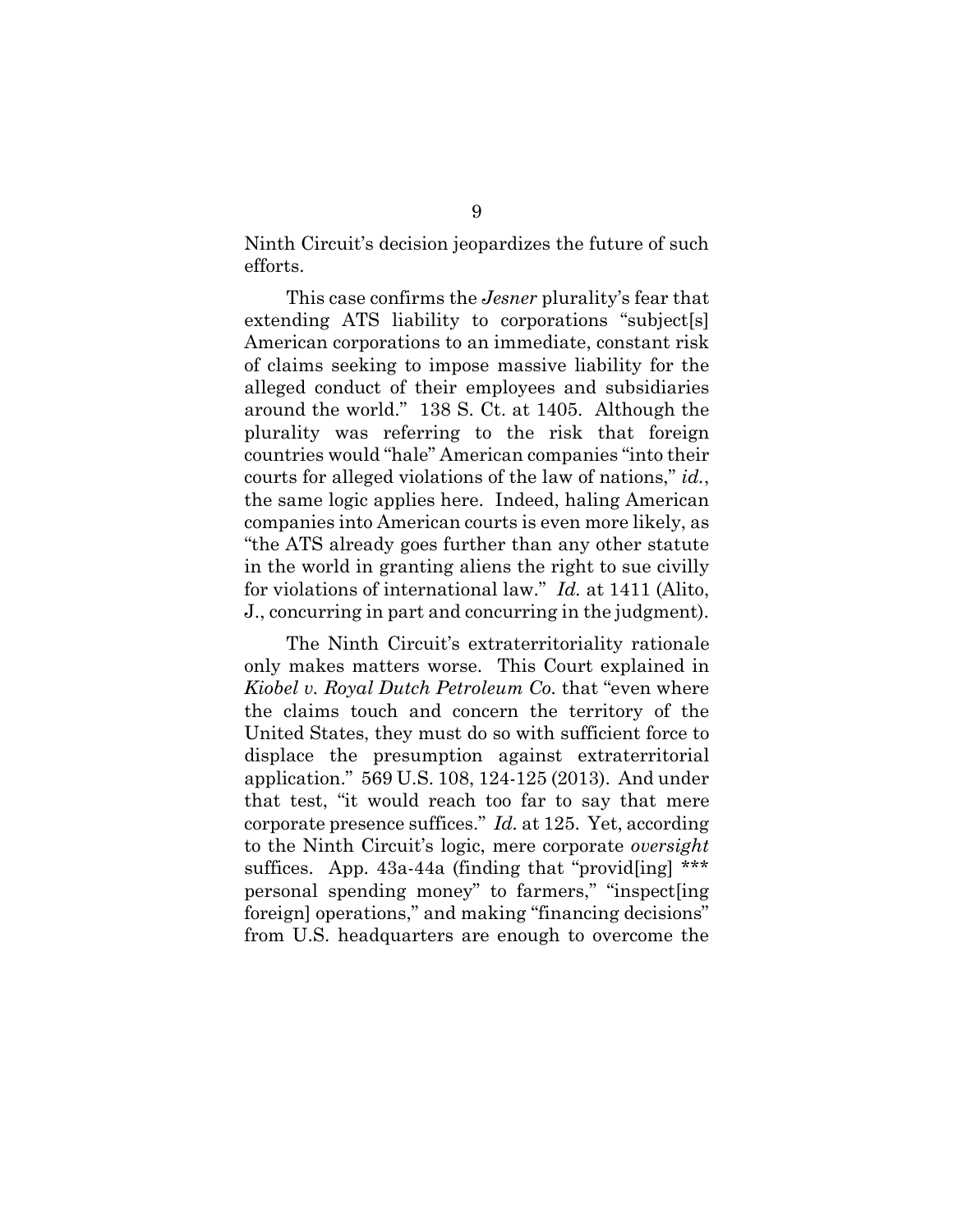Ninth Circuit's decision jeopardizes the future of such efforts.

This case confirms the *Jesner* plurality's fear that extending ATS liability to corporations "subject[s] American corporations to an immediate, constant risk of claims seeking to impose massive liability for the alleged conduct of their employees and subsidiaries around the world." 138 S. Ct. at 1405. Although the plurality was referring to the risk that foreign countries would "hale" American companies "into their courts for alleged violations of the law of nations," *id.*, the same logic applies here. Indeed, haling American companies into American courts is even more likely, as "the ATS already goes further than any other statute in the world in granting aliens the right to sue civilly for violations of international law." *Id.* at 1411 (Alito, J., concurring in part and concurring in the judgment).

The Ninth Circuit's extraterritoriality rationale only makes matters worse. This Court explained in *Kiobel v. Royal Dutch Petroleum Co.* that "even where the claims touch and concern the territory of the United States, they must do so with sufficient force to displace the presumption against extraterritorial application." 569 U.S. 108, 124-125 (2013). And under that test, "it would reach too far to say that mere corporate presence suffices." *Id.* at 125. Yet, according to the Ninth Circuit's logic, mere corporate *oversight* suffices. App. 43a-44a (finding that "provid[ing] \*\*\* personal spending money" to farmers," "inspect[ing foreign] operations," and making "financing decisions" from U.S. headquarters are enough to overcome the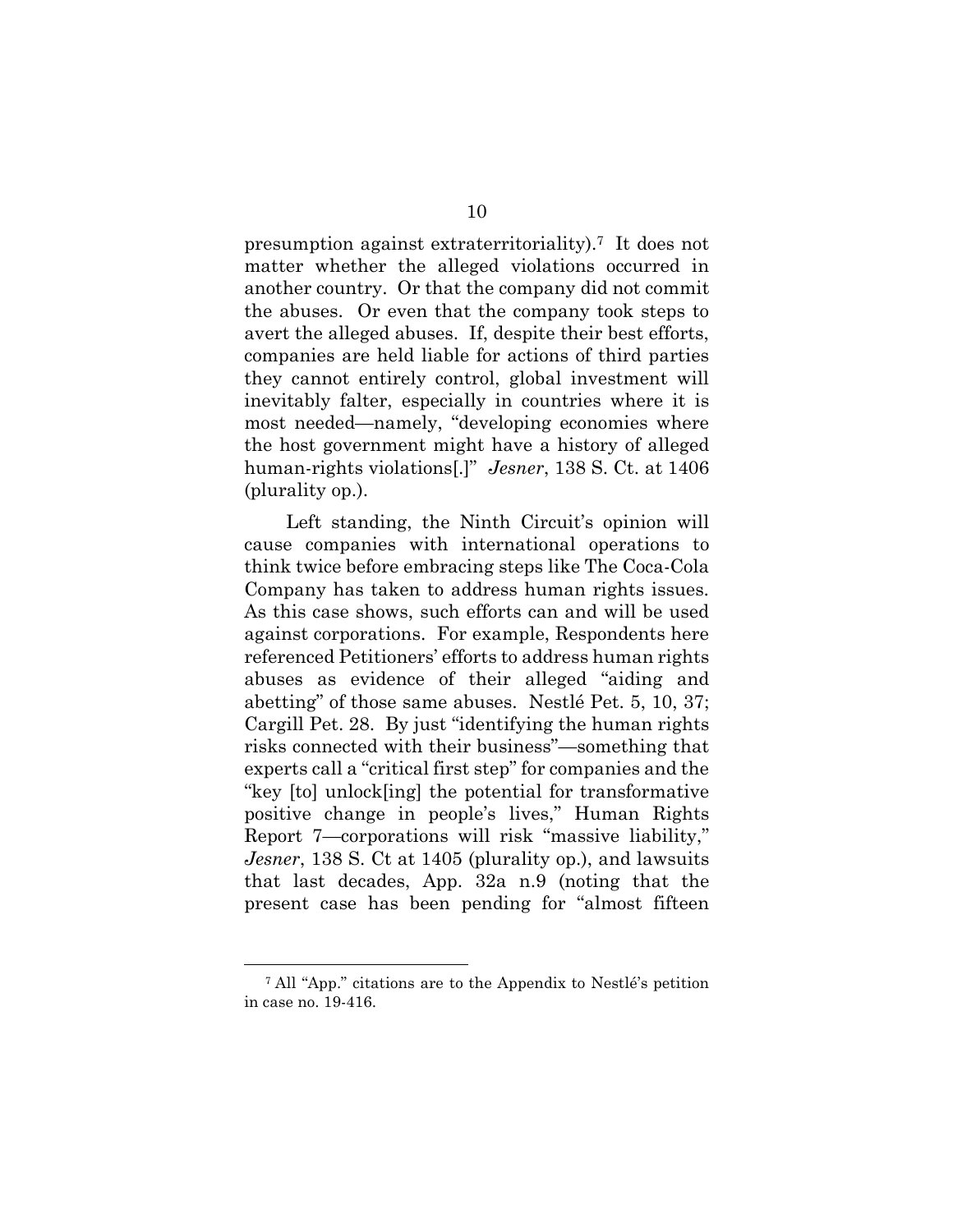presumption against extraterritoriality).7 It does not matter whether the alleged violations occurred in another country. Or that the company did not commit the abuses. Or even that the company took steps to avert the alleged abuses. If, despite their best efforts, companies are held liable for actions of third parties they cannot entirely control, global investment will inevitably falter, especially in countries where it is most needed—namely, "developing economies where the host government might have a history of alleged human-rights violations[.]" *Jesner*, 138 S. Ct. at 1406 (plurality op.).

Left standing, the Ninth Circuit's opinion will cause companies with international operations to think twice before embracing steps like The Coca-Cola Company has taken to address human rights issues. As this case shows, such efforts can and will be used against corporations. For example, Respondents here referenced Petitioners' efforts to address human rights abuses as evidence of their alleged "aiding and abetting" of those same abuses. Nestlé Pet. 5, 10, 37; Cargill Pet. 28. By just "identifying the human rights risks connected with their business"—something that experts call a "critical first step" for companies and the "key [to] unlock[ing] the potential for transformative positive change in people's lives," Human Rights Report 7—corporations will risk "massive liability," *Jesner*, 138 S. Ct at 1405 (plurality op.), and lawsuits that last decades, App. 32a n.9 (noting that the present case has been pending for "almost fifteen

<sup>7</sup> All "App." citations are to the Appendix to Nestlé's petition in case no. 19-416.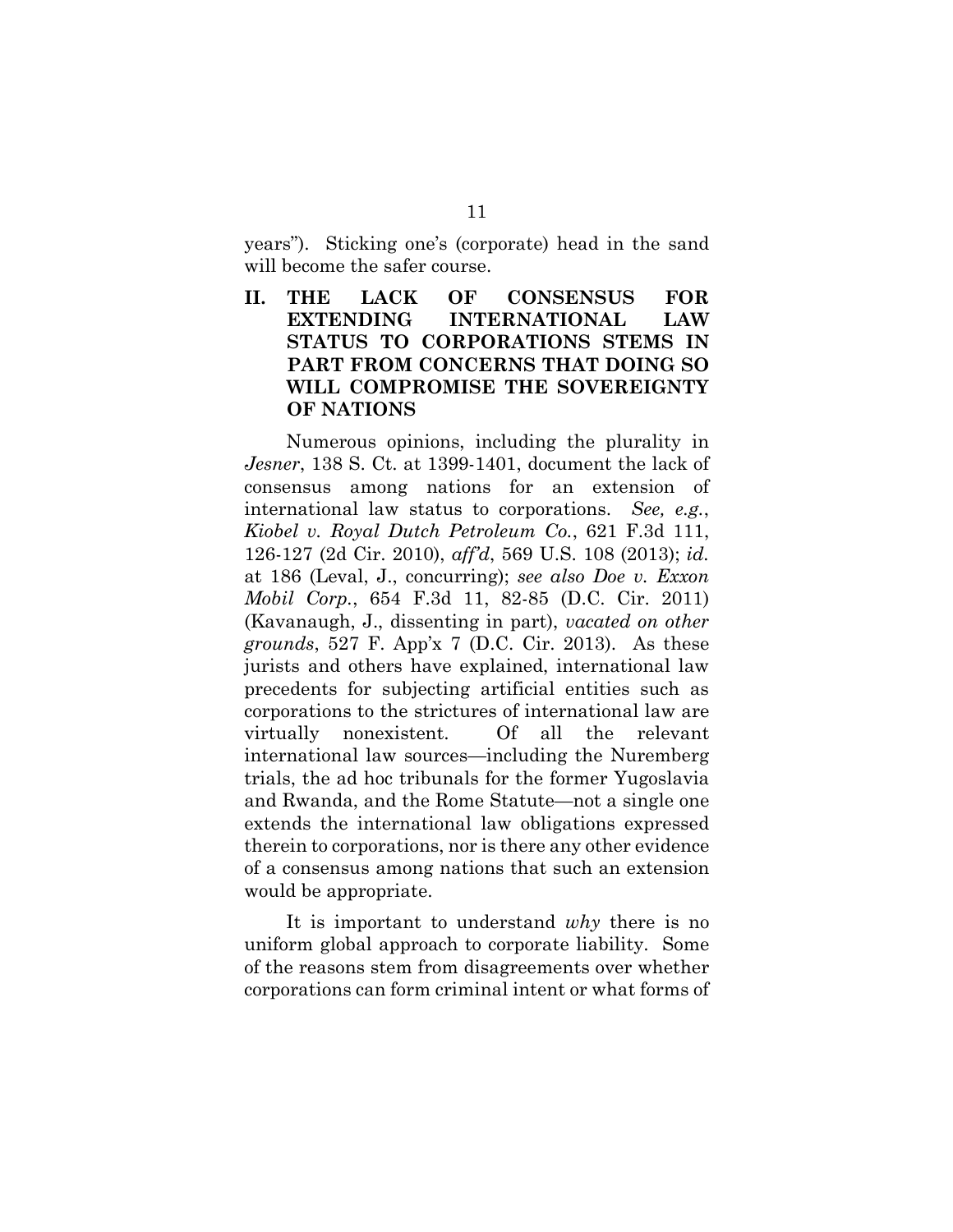years"). Sticking one's (corporate) head in the sand will become the safer course.

**II. THE LACK OF CONSENSUS FOR EXTENDING INTERNATIONAL LAW STATUS TO CORPORATIONS STEMS IN PART FROM CONCERNS THAT DOING SO WILL COMPROMISE THE SOVEREIGNTY OF NATIONS** 

Numerous opinions, including the plurality in *Jesner*, 138 S. Ct. at 1399-1401, document the lack of consensus among nations for an extension of international law status to corporations. *See, e.g.*, *Kiobel v. Royal Dutch Petroleum Co.*, 621 F.3d 111, 126-127 (2d Cir. 2010), *aff'd*, 569 U.S. 108 (2013); *id.* at 186 (Leval, J., concurring); *see also Doe v. Exxon Mobil Corp.*, 654 F.3d 11, 82-85 (D.C. Cir. 2011) (Kavanaugh, J., dissenting in part), *vacated on other grounds*, 527 F. App'x 7 (D.C. Cir. 2013). As these jurists and others have explained, international law precedents for subjecting artificial entities such as corporations to the strictures of international law are virtually nonexistent. Of all the relevant international law sources—including the Nuremberg trials, the ad hoc tribunals for the former Yugoslavia and Rwanda, and the Rome Statute—not a single one extends the international law obligations expressed therein to corporations, nor is there any other evidence of a consensus among nations that such an extension would be appropriate.

It is important to understand *why* there is no uniform global approach to corporate liability. Some of the reasons stem from disagreements over whether corporations can form criminal intent or what forms of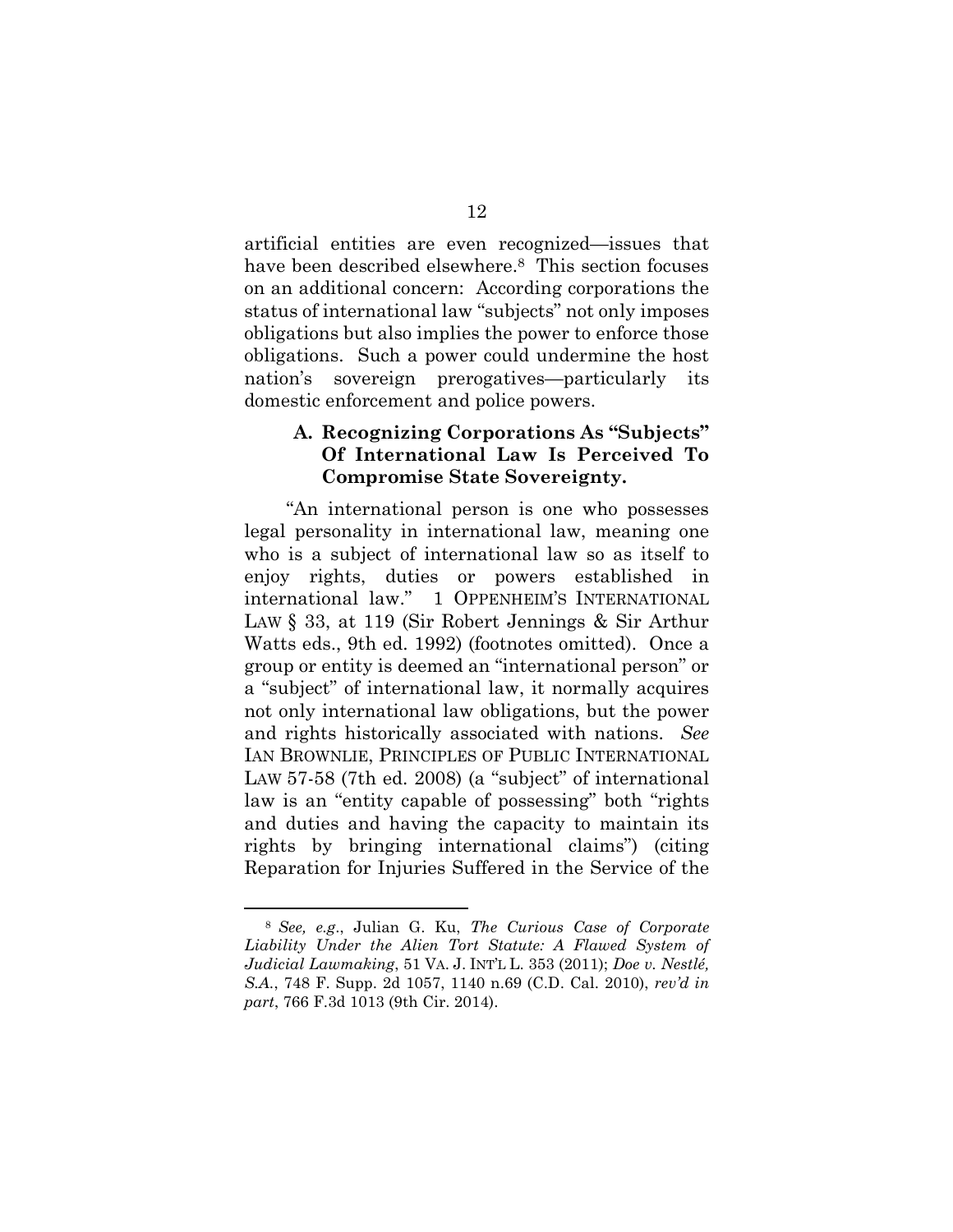artificial entities are even recognized—issues that have been described elsewhere.<sup>8</sup> This section focuses on an additional concern: According corporations the status of international law "subjects" not only imposes obligations but also implies the power to enforce those obligations. Such a power could undermine the host nation's sovereign prerogatives—particularly its domestic enforcement and police powers.

#### **A. Recognizing Corporations As "Subjects" Of International Law Is Perceived To Compromise State Sovereignty.**

"An international person is one who possesses legal personality in international law, meaning one who is a subject of international law so as itself to enjoy rights, duties or powers established in international law." 1 OPPENHEIM'S INTERNATIONAL LAW § 33, at 119 (Sir Robert Jennings & Sir Arthur Watts eds., 9th ed. 1992) (footnotes omitted). Once a group or entity is deemed an "international person" or a "subject" of international law, it normally acquires not only international law obligations, but the power and rights historically associated with nations. *See*  IAN BROWNLIE, PRINCIPLES OF PUBLIC INTERNATIONAL LAW 57-58 (7th ed. 2008) (a "subject" of international law is an "entity capable of possessing" both "rights and duties and having the capacity to maintain its rights by bringing international claims") (citing Reparation for Injuries Suffered in the Service of the

<sup>8</sup> *See, e.g*., Julian G. Ku, *The Curious Case of Corporate*  Liability Under the Alien Tort Statute: A Flawed System of *Judicial Lawmaking*, 51 VA. J. INT'L L. 353 (2011); *Doe v. Nestlé, S.A.*, 748 F. Supp. 2d 1057, 1140 n.69 (C.D. Cal. 2010), *rev'd in part*, 766 F.3d 1013 (9th Cir. 2014).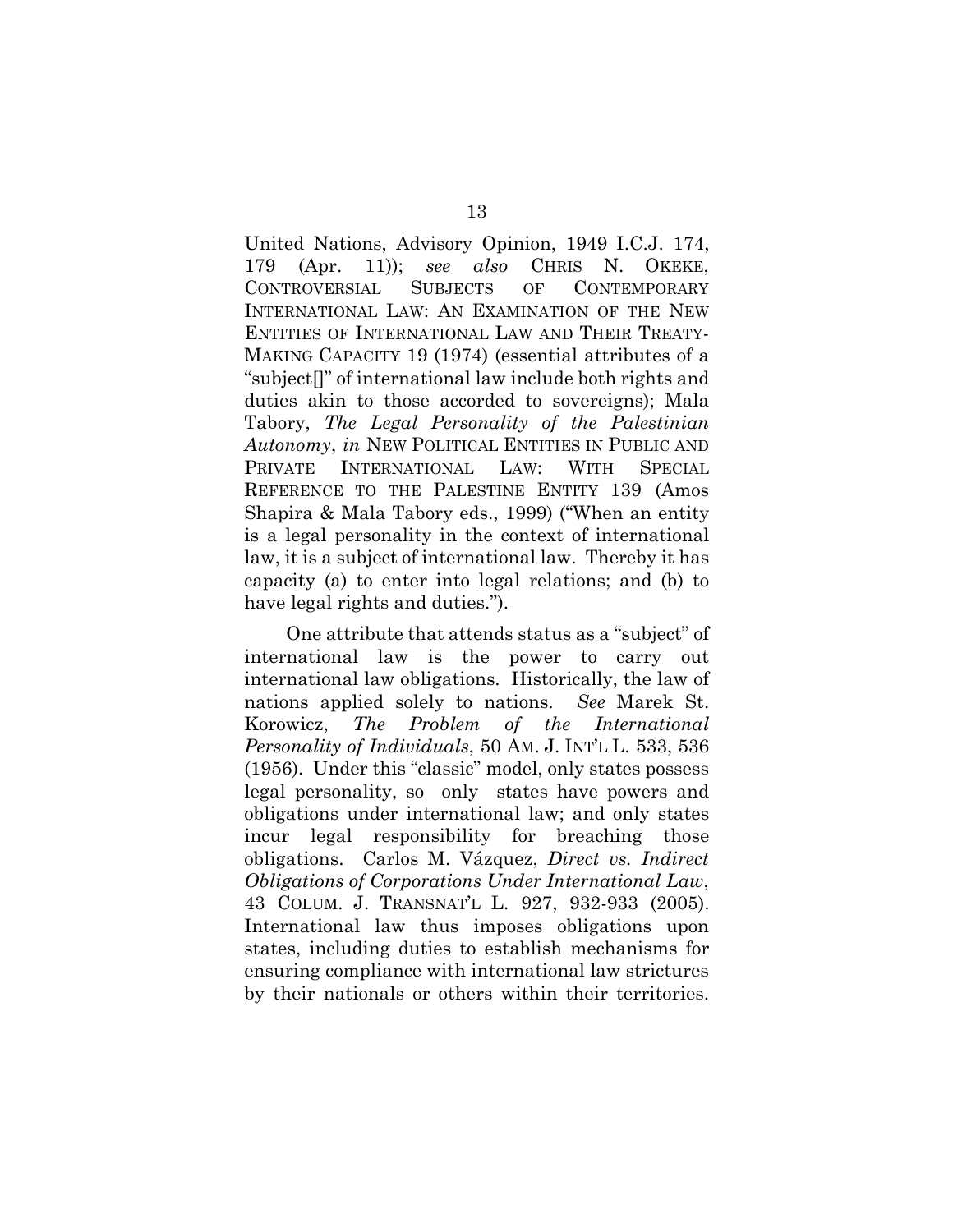United Nations, Advisory Opinion, 1949 I.C.J. 174, 179 (Apr. 11)); *see also* CHRIS N. OKEKE, CONTROVERSIAL SUBJECTS OF CONTEMPORARY INTERNATIONAL LAW: AN EXAMINATION OF THE NEW ENTITIES OF INTERNATIONAL LAW AND THEIR TREATY-MAKING CAPACITY 19 (1974) (essential attributes of a "subject[]" of international law include both rights and duties akin to those accorded to sovereigns); Mala Tabory, *The Legal Personality of the Palestinian Autonomy*, *in* NEW POLITICAL ENTITIES IN PUBLIC AND PRIVATE INTERNATIONAL LAW: WITH SPECIAL REFERENCE TO THE PALESTINE ENTITY 139 (Amos Shapira & Mala Tabory eds., 1999) ("When an entity is a legal personality in the context of international law, it is a subject of international law. Thereby it has capacity (a) to enter into legal relations; and (b) to have legal rights and duties.").

One attribute that attends status as a "subject" of international law is the power to carry out international law obligations. Historically, the law of nations applied solely to nations. *See* Marek St. Korowicz, *The Problem of the International Personality of Individuals*, 50 AM. J. INT'L L. 533, 536 (1956). Under this "classic" model, only states possess legal personality, so only states have powers and obligations under international law; and only states incur legal responsibility for breaching those obligations. Carlos M. Vázquez, *Direct vs. Indirect Obligations of Corporations Under International Law*, 43 COLUM. J. TRANSNAT'L L. 927, 932-933 (2005). International law thus imposes obligations upon states, including duties to establish mechanisms for ensuring compliance with international law strictures by their nationals or others within their territories.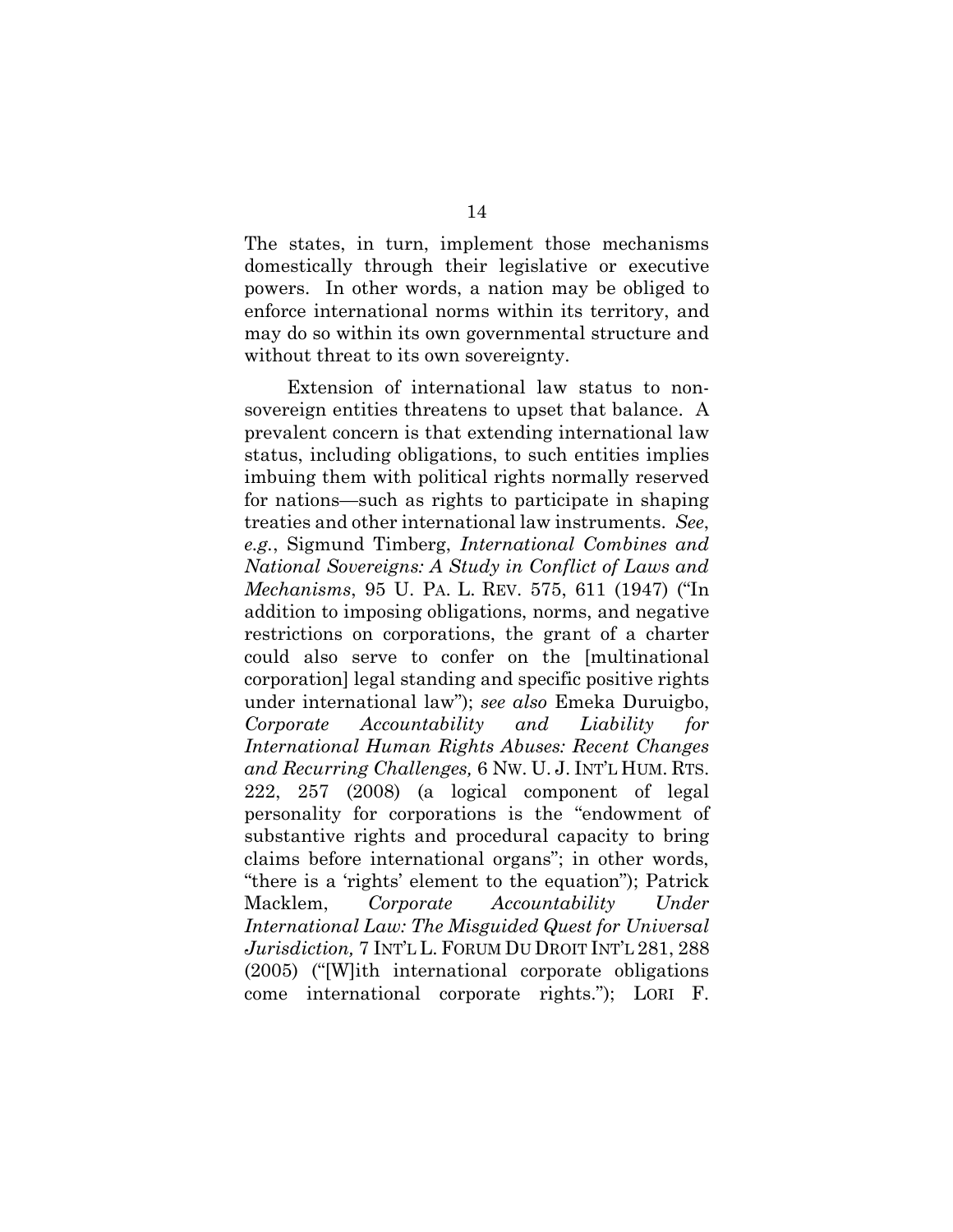The states, in turn, implement those mechanisms domestically through their legislative or executive powers. In other words, a nation may be obliged to enforce international norms within its territory, and may do so within its own governmental structure and without threat to its own sovereignty.

 Extension of international law status to nonsovereign entities threatens to upset that balance. A prevalent concern is that extending international law status, including obligations, to such entities implies imbuing them with political rights normally reserved for nations—such as rights to participate in shaping treaties and other international law instruments. *See*, *e.g.*, Sigmund Timberg, *International Combines and National Sovereigns: A Study in Conflict of Laws and Mechanisms*, 95 U. PA. L. REV. 575, 611 (1947) ("In addition to imposing obligations, norms, and negative restrictions on corporations, the grant of a charter could also serve to confer on the [multinational corporation] legal standing and specific positive rights under international law"); *see also* Emeka Duruigbo, *Corporate Accountability and Liability for International Human Rights Abuses: Recent Changes and Recurring Challenges,* 6 NW. U. J. INT'L HUM. RTS. 222, 257 (2008) (a logical component of legal personality for corporations is the "endowment of substantive rights and procedural capacity to bring claims before international organs"; in other words, "there is a 'rights' element to the equation"); Patrick Macklem, *Corporate Accountability Under International Law: The Misguided Quest for Universal Jurisdiction,* 7 INT'L L. FORUM DU DROIT INT'L 281, 288 (2005) ("[W]ith international corporate obligations come international corporate rights."); LORI F.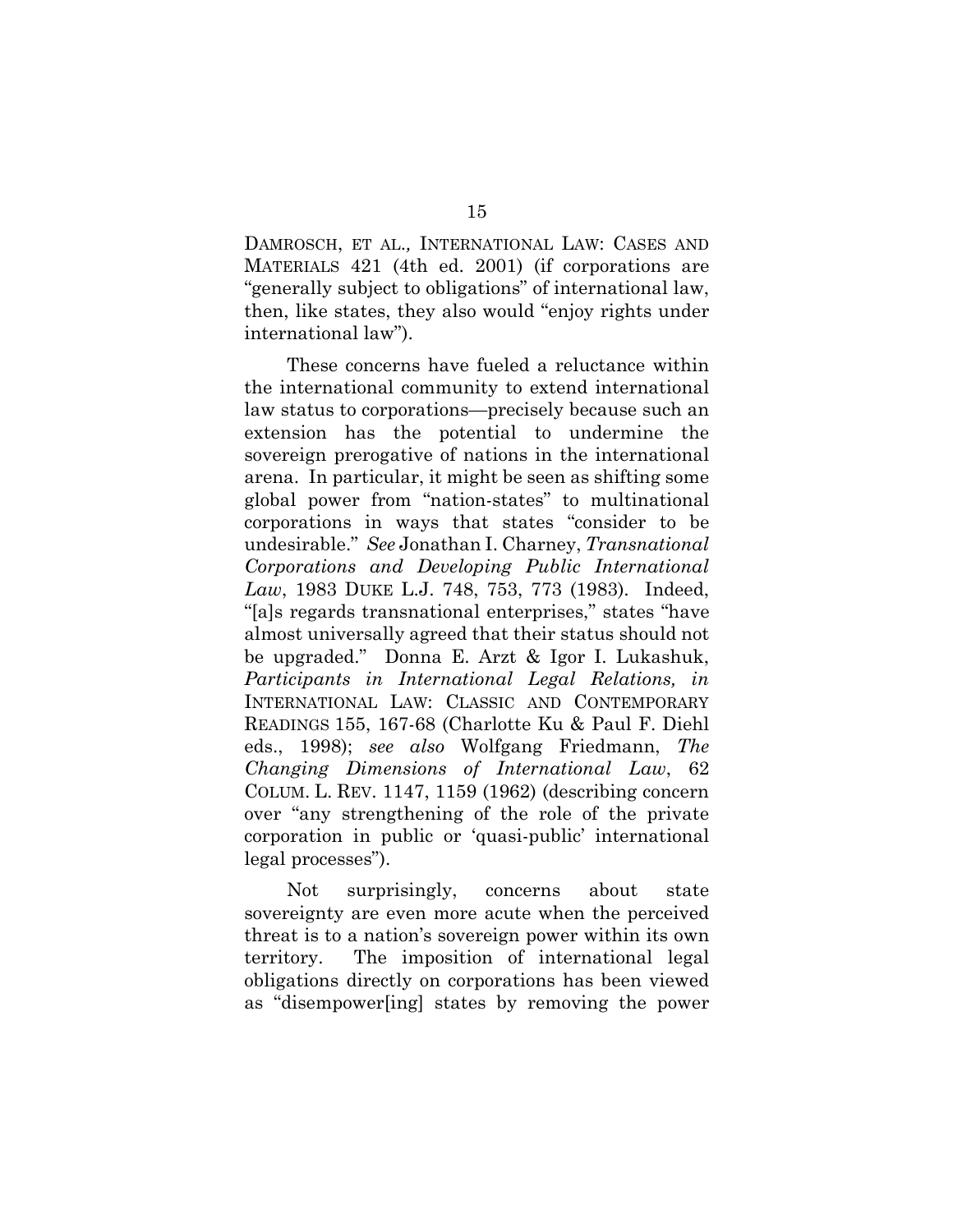DAMROSCH, ET AL.*,* INTERNATIONAL LAW: CASES AND MATERIALS 421 (4th ed. 2001) (if corporations are "generally subject to obligations" of international law, then, like states, they also would "enjoy rights under international law").

 These concerns have fueled a reluctance within the international community to extend international law status to corporations—precisely because such an extension has the potential to undermine the sovereign prerogative of nations in the international arena. In particular, it might be seen as shifting some global power from "nation-states" to multinational corporations in ways that states "consider to be undesirable." *See* Jonathan I. Charney, *Transnational Corporations and Developing Public International Law*, 1983 DUKE L.J. 748, 753, 773 (1983). Indeed, "[a]s regards transnational enterprises," states "have almost universally agreed that their status should not be upgraded." Donna E. Arzt & Igor I. Lukashuk, *Participants in International Legal Relations, in*  INTERNATIONAL LAW: CLASSIC AND CONTEMPORARY READINGS 155, 167-68 (Charlotte Ku & Paul F. Diehl eds., 1998); *see also* Wolfgang Friedmann, *The Changing Dimensions of International Law*, 62 COLUM. L. REV. 1147, 1159 (1962) (describing concern over "any strengthening of the role of the private corporation in public or 'quasi-public' international legal processes").

 Not surprisingly, concerns about state sovereignty are even more acute when the perceived threat is to a nation's sovereign power within its own territory. The imposition of international legal obligations directly on corporations has been viewed as "disempower[ing] states by removing the power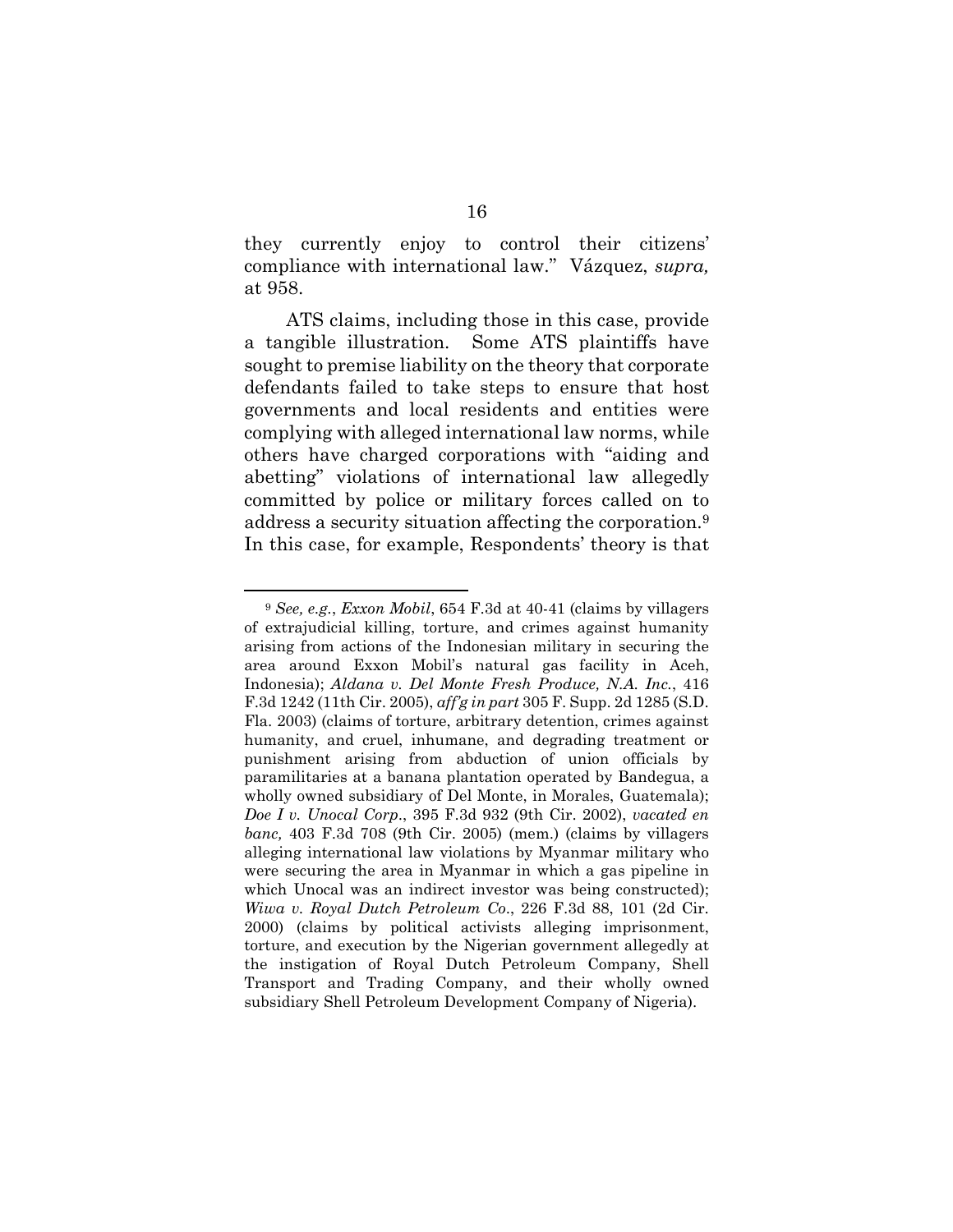they currently enjoy to control their citizens' compliance with international law." Vázquez, *supra,* at 958.

ATS claims, including those in this case, provide a tangible illustration. Some ATS plaintiffs have sought to premise liability on the theory that corporate defendants failed to take steps to ensure that host governments and local residents and entities were complying with alleged international law norms, while others have charged corporations with "aiding and abetting" violations of international law allegedly committed by police or military forces called on to address a security situation affecting the corporation.<sup>9</sup> In this case, for example, Respondents' theory is that

<sup>9</sup> *See, e.g.*, *Exxon Mobil*, 654 F.3d at 40-41 (claims by villagers of extrajudicial killing, torture, and crimes against humanity arising from actions of the Indonesian military in securing the area around Exxon Mobil's natural gas facility in Aceh, Indonesia); *Aldana v. Del Monte Fresh Produce, N.A. Inc.*, 416 F.3d 1242 (11th Cir. 2005), *aff'g in part* 305 F. Supp. 2d 1285 (S.D. Fla. 2003) (claims of torture, arbitrary detention, crimes against humanity, and cruel, inhumane, and degrading treatment or punishment arising from abduction of union officials by paramilitaries at a banana plantation operated by Bandegua, a wholly owned subsidiary of Del Monte, in Morales, Guatemala); *Doe I v. Unocal Corp*., 395 F.3d 932 (9th Cir. 2002), *vacated en banc,* 403 F.3d 708 (9th Cir. 2005) (mem.) (claims by villagers alleging international law violations by Myanmar military who were securing the area in Myanmar in which a gas pipeline in which Unocal was an indirect investor was being constructed); *Wiwa v. Royal Dutch Petroleum Co*., 226 F.3d 88, 101 (2d Cir. 2000) (claims by political activists alleging imprisonment, torture, and execution by the Nigerian government allegedly at the instigation of Royal Dutch Petroleum Company, Shell Transport and Trading Company, and their wholly owned subsidiary Shell Petroleum Development Company of Nigeria).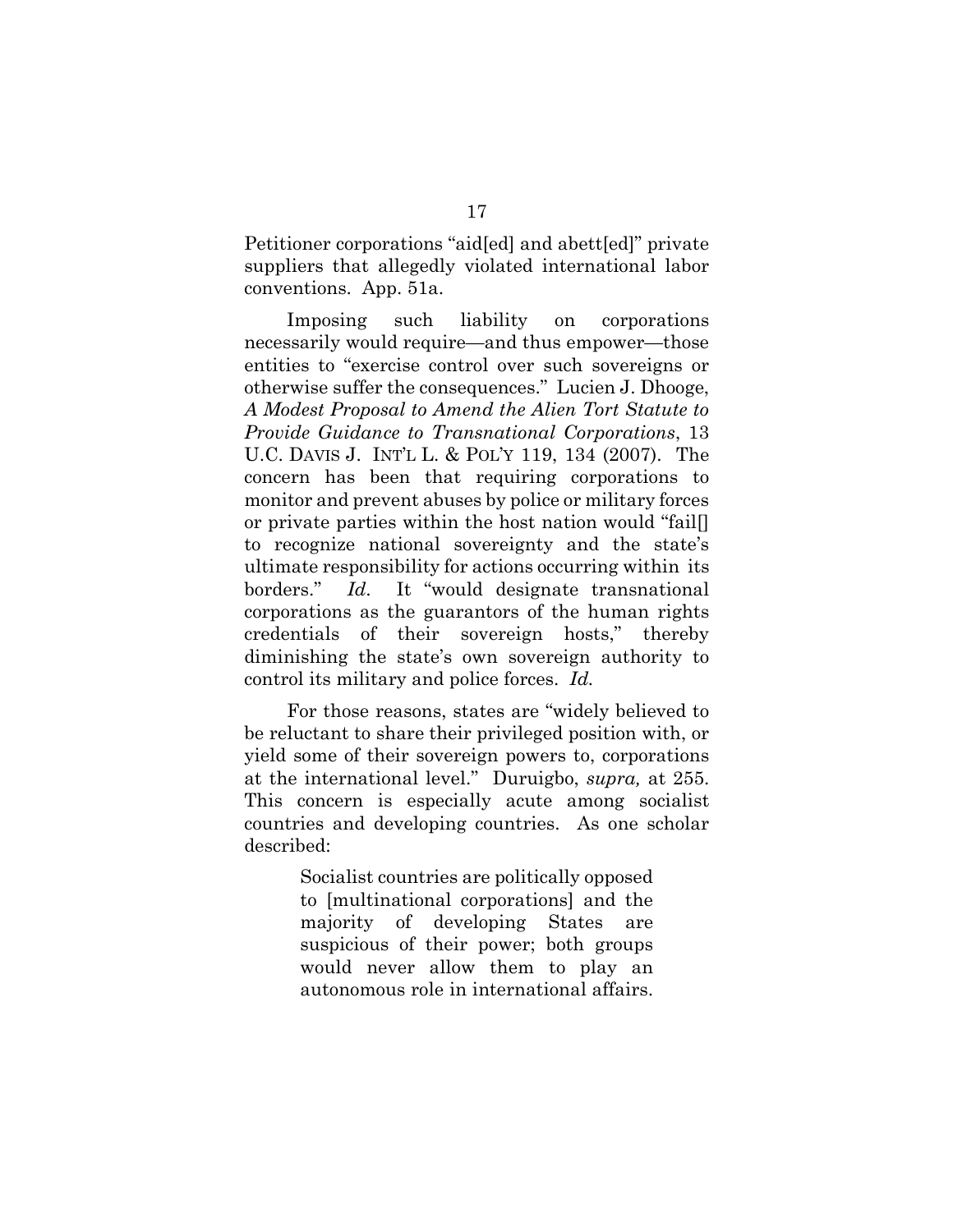Petitioner corporations "aid[ed] and abett[ed]" private suppliers that allegedly violated international labor conventions. App. 51a.

 Imposing such liability on corporations necessarily would require—and thus empower—those entities to "exercise control over such sovereigns or otherwise suffer the consequences." Lucien J. Dhooge, *A Modest Proposal to Amend the Alien Tort Statute to Provide Guidance to Transnational Corporations*, 13 U.C. DAVIS J. INT'L L. & POL'Y 119, 134 (2007). The concern has been that requiring corporations to monitor and prevent abuses by police or military forces or private parties within the host nation would "fail[] to recognize national sovereignty and the state's ultimate responsibility for actions occurring within its borders." *Id*. It "would designate transnational corporations as the guarantors of the human rights credentials of their sovereign hosts," thereby diminishing the state's own sovereign authority to control its military and police forces. *Id.*

 For those reasons, states are "widely believed to be reluctant to share their privileged position with, or yield some of their sovereign powers to, corporations at the international level." Duruigbo, *supra,* at 255. This concern is especially acute among socialist countries and developing countries. As one scholar described:

> Socialist countries are politically opposed to [multinational corporations] and the majority of developing States are suspicious of their power; both groups would never allow them to play an autonomous role in international affairs.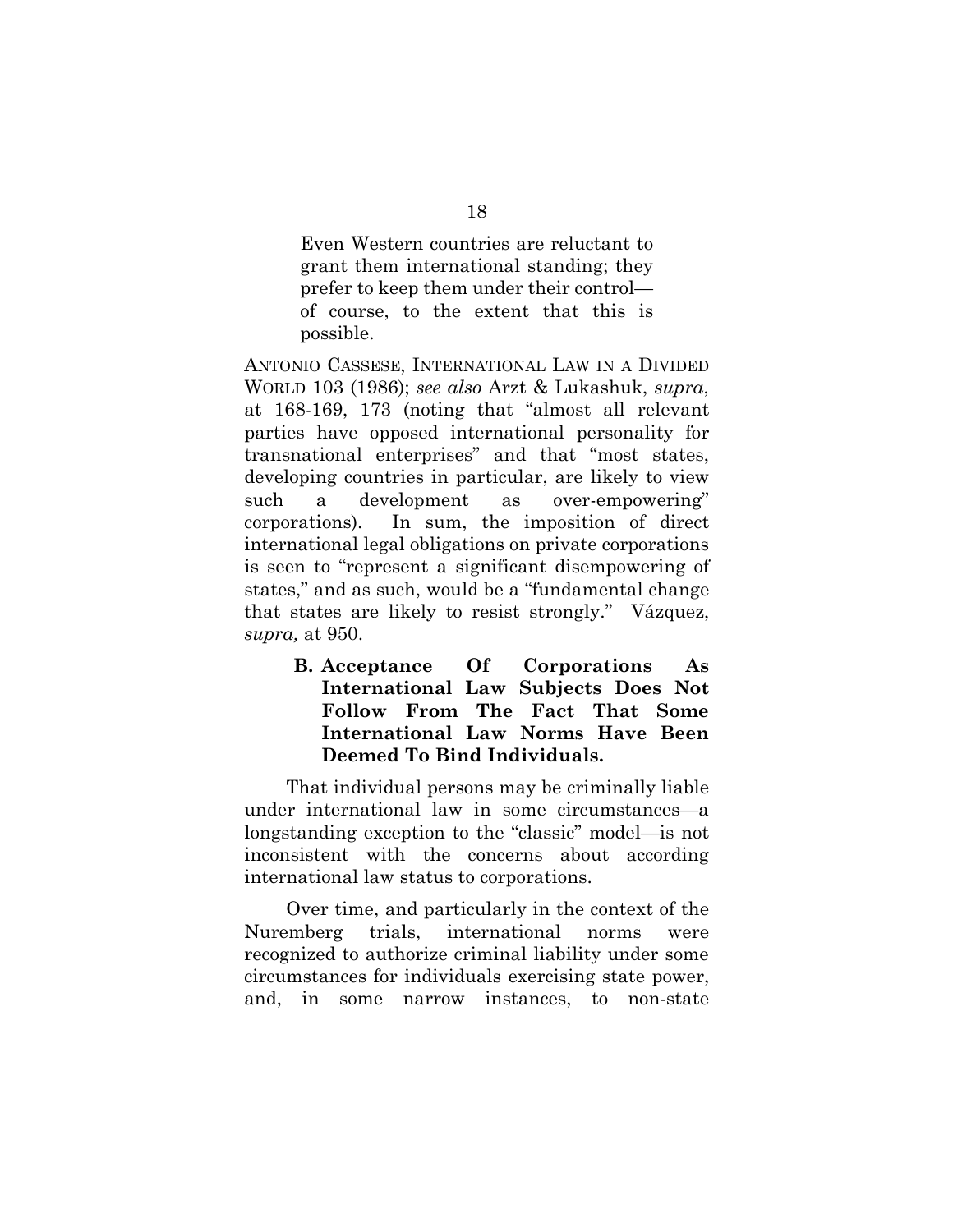Even Western countries are reluctant to grant them international standing; they prefer to keep them under their control of course, to the extent that this is possible.

ANTONIO CASSESE, INTERNATIONAL LAW IN A DIVIDED WORLD 103 (1986); *see also* Arzt & Lukashuk, *supra*, at 168-169, 173 (noting that "almost all relevant parties have opposed international personality for transnational enterprises" and that "most states, developing countries in particular, are likely to view such a development as over-empowering" corporations). In sum, the imposition of direct international legal obligations on private corporations is seen to "represent a significant disempowering of states," and as such, would be a "fundamental change that states are likely to resist strongly." Vázquez, *supra,* at 950.

**B. Acceptance Of Corporations As International Law Subjects Does Not Follow From The Fact That Some International Law Norms Have Been Deemed To Bind Individuals.** 

That individual persons may be criminally liable under international law in some circumstances—a longstanding exception to the "classic" model—is not inconsistent with the concerns about according international law status to corporations.

Over time, and particularly in the context of the Nuremberg trials, international norms were recognized to authorize criminal liability under some circumstances for individuals exercising state power, and, in some narrow instances, to non-state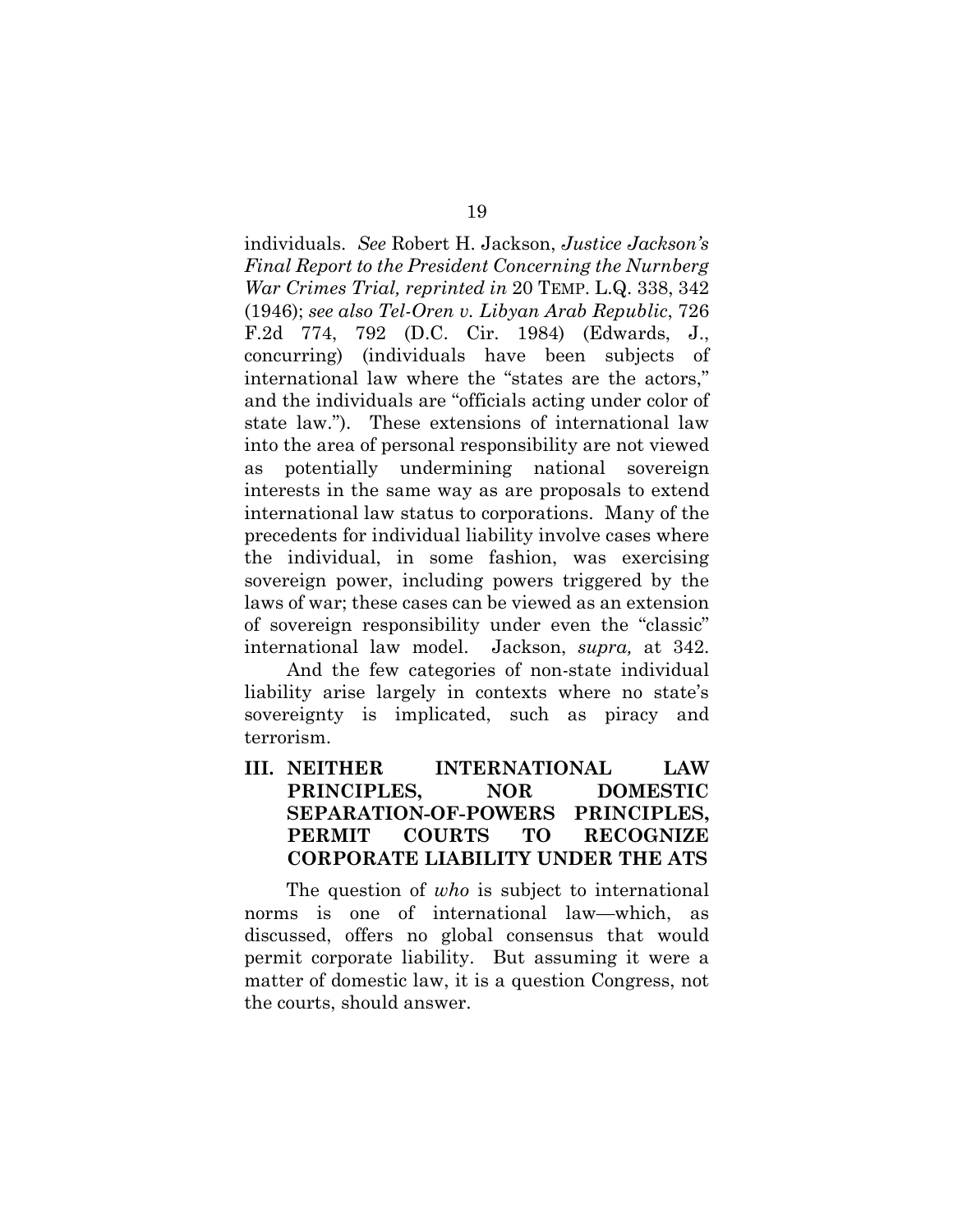individuals. *See* Robert H. Jackson, *Justice Jackson's Final Report to the President Concerning the Nurnberg War Crimes Trial, reprinted in* 20 TEMP. L.Q. 338, 342 (1946); *see also Tel-Oren v. Libyan Arab Republic*, 726 F.2d 774, 792 (D.C. Cir. 1984) (Edwards, J., concurring) (individuals have been subjects of international law where the "states are the actors," and the individuals are "officials acting under color of state law."). These extensions of international law into the area of personal responsibility are not viewed as potentially undermining national sovereign interests in the same way as are proposals to extend international law status to corporations. Many of the precedents for individual liability involve cases where the individual, in some fashion, was exercising sovereign power, including powers triggered by the laws of war; these cases can be viewed as an extension of sovereign responsibility under even the "classic" international law model. Jackson, *supra,* at 342.

 And the few categories of non-state individual liability arise largely in contexts where no state's sovereignty is implicated, such as piracy and terrorism.

## **III. NEITHER INTERNATIONAL LAW PRINCIPLES, NOR DOMESTIC SEPARATION-OF-POWERS PRINCIPLES, PERMIT COURTS TO RECOGNIZE CORPORATE LIABILITY UNDER THE ATS**

The question of *who* is subject to international norms is one of international law—which, as discussed, offers no global consensus that would permit corporate liability. But assuming it were a matter of domestic law, it is a question Congress, not the courts, should answer.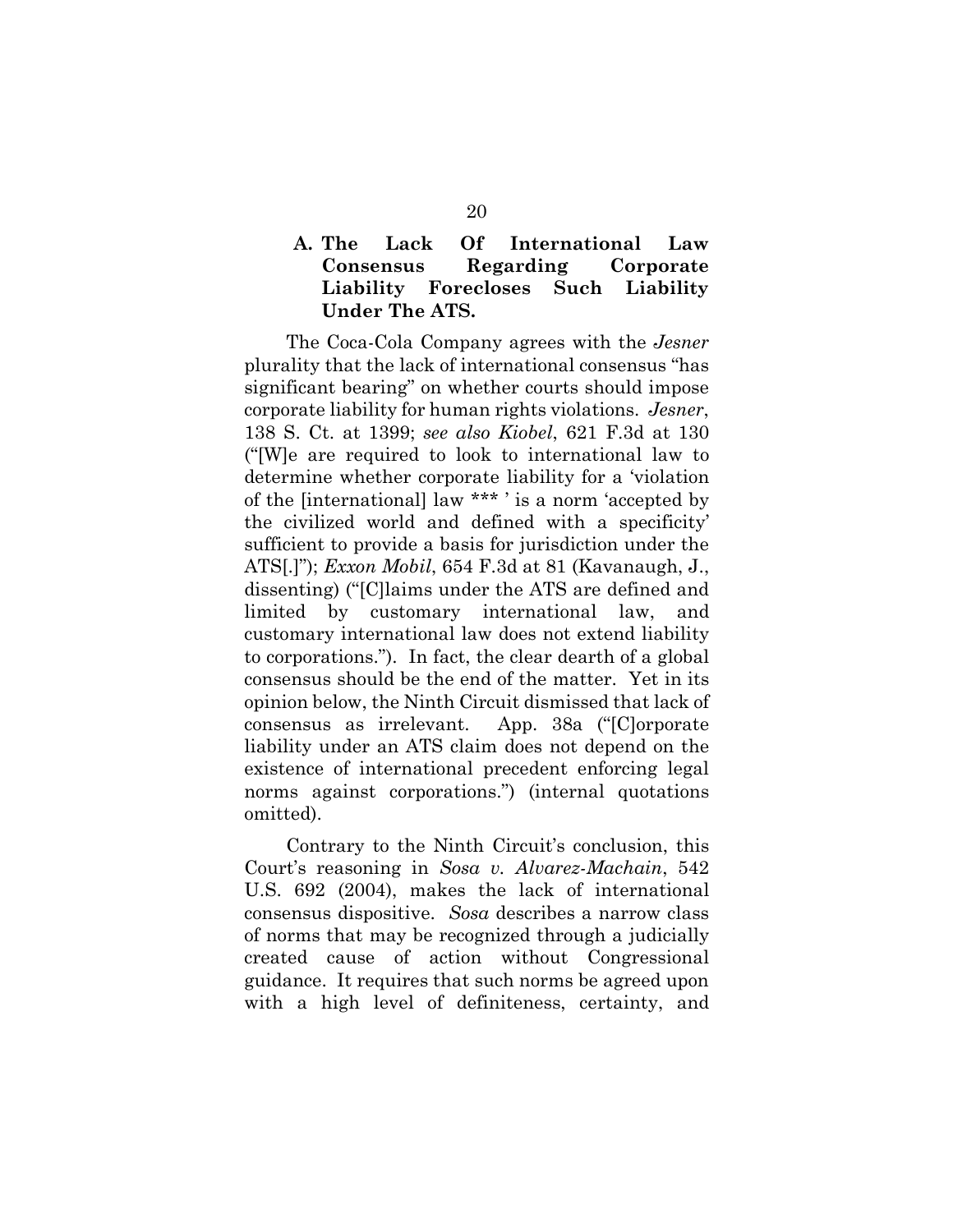## **A. The Lack Of International Law Consensus Regarding Corporate Liability Forecloses Such Liability Under The ATS.**

The Coca-Cola Company agrees with the *Jesner* plurality that the lack of international consensus "has significant bearing" on whether courts should impose corporate liability for human rights violations. *Jesner*, 138 S. Ct. at 1399; *see also Kiobel*, 621 F.3d at 130 ("[W]e are required to look to international law to determine whether corporate liability for a 'violation of the [international] law \*\*\* ' is a norm 'accepted by the civilized world and defined with a specificity' sufficient to provide a basis for jurisdiction under the ATS[.]"); *Exxon Mobil*, 654 F.3d at 81 (Kavanaugh, J., dissenting) ("[C]laims under the ATS are defined and limited by customary international law, and customary international law does not extend liability to corporations."). In fact, the clear dearth of a global consensus should be the end of the matter. Yet in its opinion below, the Ninth Circuit dismissed that lack of consensus as irrelevant. App. 38a ("[C]orporate liability under an ATS claim does not depend on the existence of international precedent enforcing legal norms against corporations.") (internal quotations omitted).

Contrary to the Ninth Circuit's conclusion, this Court's reasoning in *Sosa v. Alvarez-Machain*, 542 U.S. 692 (2004), makes the lack of international consensus dispositive. *Sosa* describes a narrow class of norms that may be recognized through a judicially created cause of action without Congressional guidance. It requires that such norms be agreed upon with a high level of definiteness, certainty, and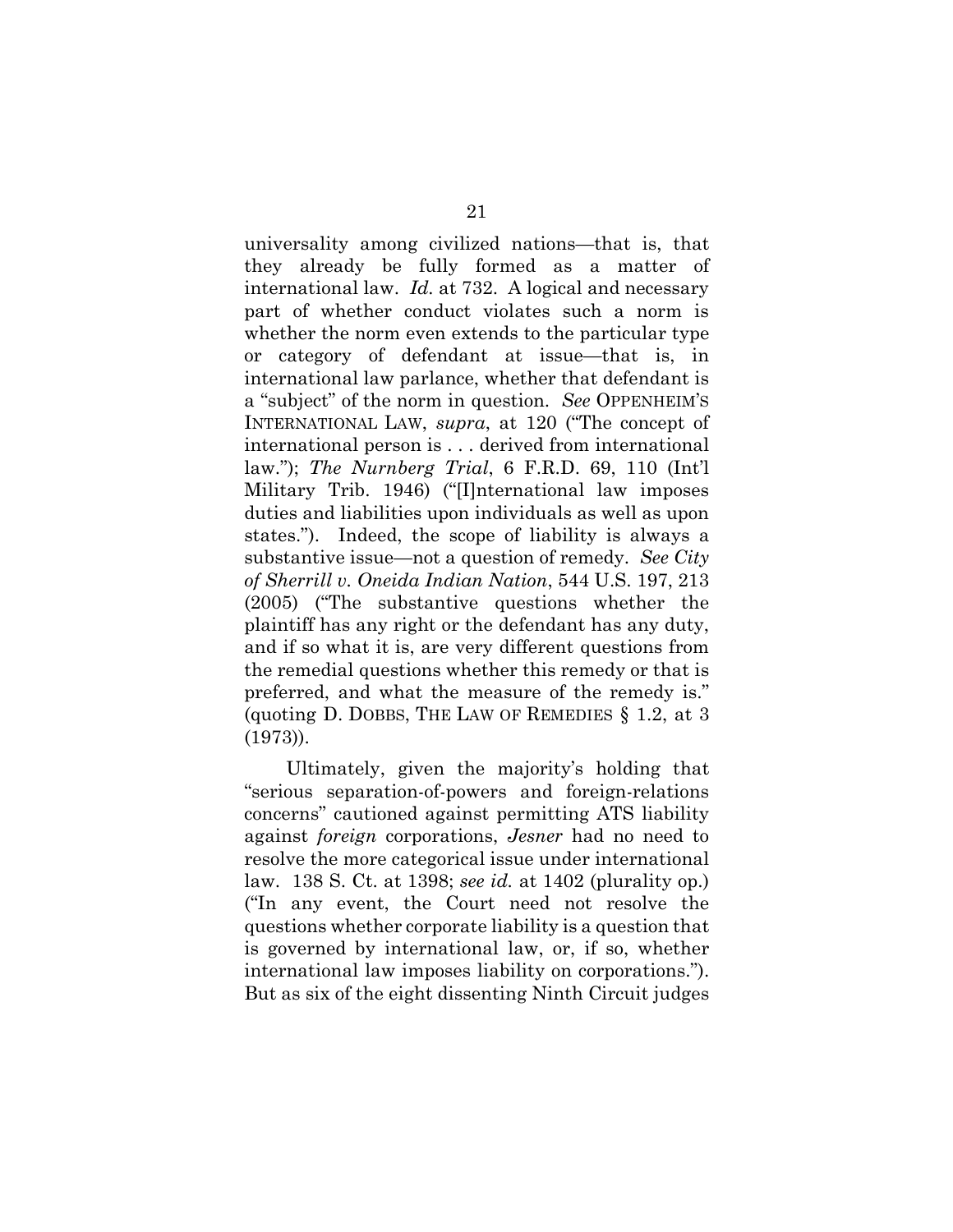universality among civilized nations—that is, that they already be fully formed as a matter of international law. *Id.* at 732. A logical and necessary part of whether conduct violates such a norm is whether the norm even extends to the particular type or category of defendant at issue—that is, in international law parlance, whether that defendant is a "subject" of the norm in question. *See* OPPENHEIM'S INTERNATIONAL LAW, *supra*, at 120 ("The concept of international person is . . . derived from international law."); *The Nurnberg Trial*, 6 F.R.D. 69, 110 (Int'l Military Trib. 1946) ("[I]nternational law imposes duties and liabilities upon individuals as well as upon states."). Indeed, the scope of liability is always a substantive issue—not a question of remedy. *See City of Sherrill v. Oneida Indian Nation*, 544 U.S. 197, 213 (2005) ("The substantive questions whether the plaintiff has any right or the defendant has any duty, and if so what it is, are very different questions from the remedial questions whether this remedy or that is preferred, and what the measure of the remedy is." (quoting D. DOBBS, THE LAW OF REMEDIES § 1.2, at 3 (1973)).

Ultimately, given the majority's holding that "serious separation-of-powers and foreign-relations concerns" cautioned against permitting ATS liability against *foreign* corporations, *Jesner* had no need to resolve the more categorical issue under international law. 138 S. Ct. at 1398; *see id.* at 1402 (plurality op.) ("In any event, the Court need not resolve the questions whether corporate liability is a question that is governed by international law, or, if so, whether international law imposes liability on corporations."). But as six of the eight dissenting Ninth Circuit judges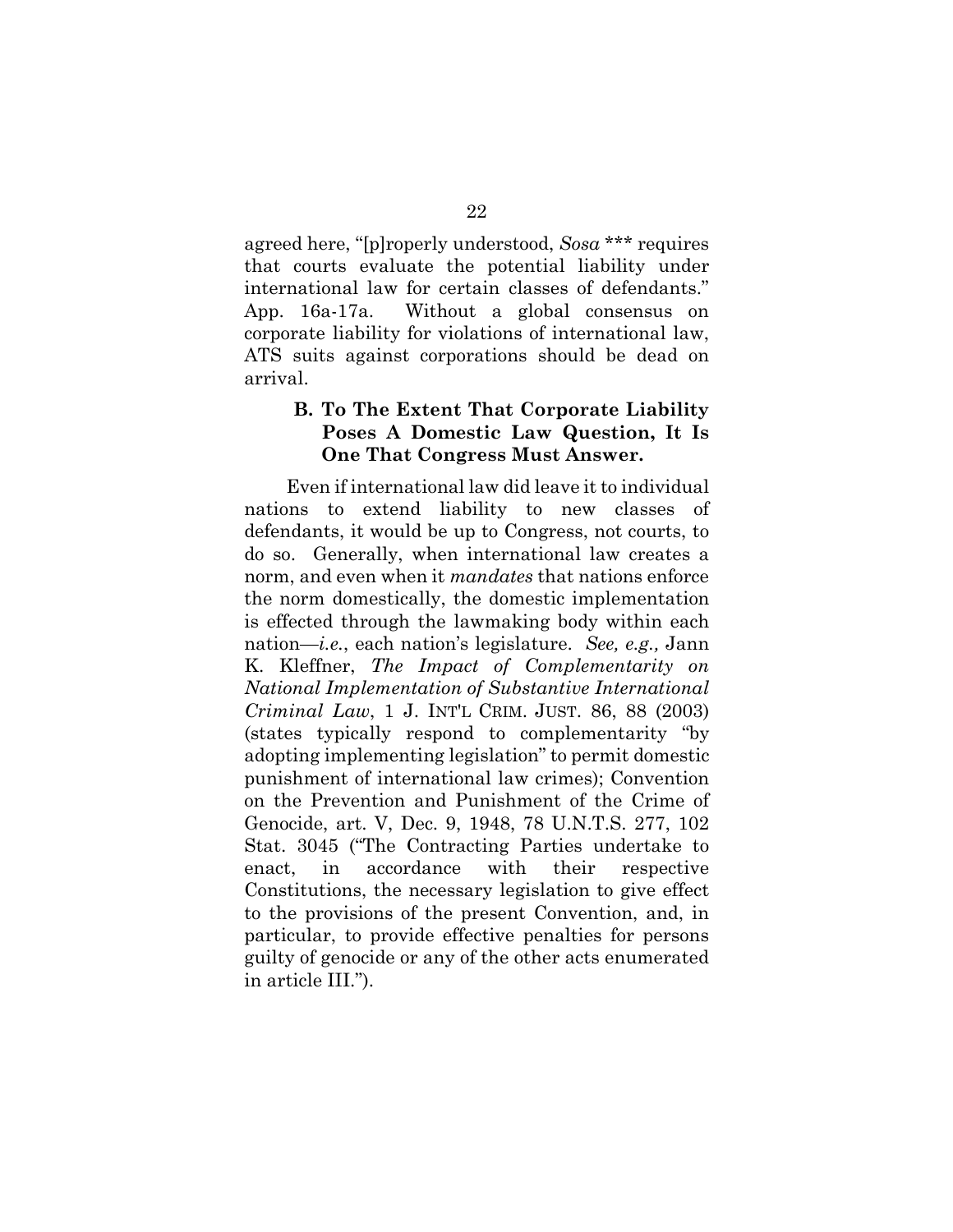agreed here, "[p]roperly understood, *Sosa* \*\*\* requires that courts evaluate the potential liability under international law for certain classes of defendants." App. 16a-17a. Without a global consensus on corporate liability for violations of international law, ATS suits against corporations should be dead on arrival.

#### **B. To The Extent That Corporate Liability Poses A Domestic Law Question, It Is One That Congress Must Answer.**

Even if international law did leave it to individual nations to extend liability to new classes of defendants, it would be up to Congress, not courts, to do so. Generally, when international law creates a norm, and even when it *mandates* that nations enforce the norm domestically, the domestic implementation is effected through the lawmaking body within each nation—*i.e.*, each nation's legislature. *See, e.g.,* Jann K. Kleffner, *The Impact of Complementarity on National Implementation of Substantive International Criminal Law*, 1 J. INT'L CRIM. JUST. 86, 88 (2003) (states typically respond to complementarity "by adopting implementing legislation" to permit domestic punishment of international law crimes); Convention on the Prevention and Punishment of the Crime of Genocide, art. V, Dec. 9, 1948, 78 U.N.T.S. 277, 102 Stat. 3045 ("The Contracting Parties undertake to enact, in accordance with their respective Constitutions, the necessary legislation to give effect to the provisions of the present Convention, and, in particular, to provide effective penalties for persons guilty of genocide or any of the other acts enumerated in article III.").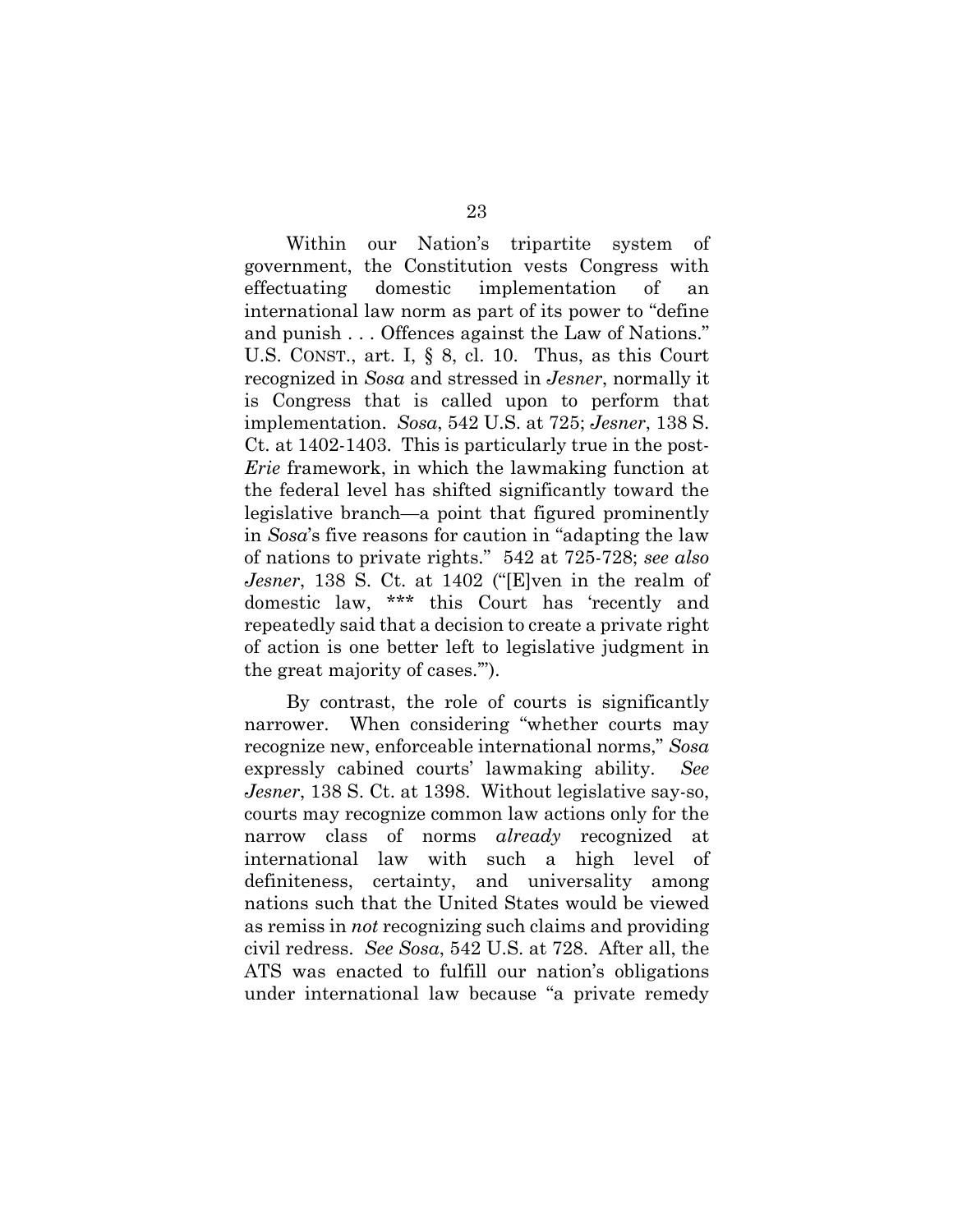Within our Nation's tripartite system of government, the Constitution vests Congress with effectuating domestic implementation of an international law norm as part of its power to "define and punish . . . Offences against the Law of Nations." U.S. CONST., art. I, § 8, cl. 10. Thus, as this Court recognized in *Sosa* and stressed in *Jesner*, normally it is Congress that is called upon to perform that implementation. *Sosa*, 542 U.S. at 725; *Jesner*, 138 S. Ct. at 1402-1403. This is particularly true in the post-*Erie* framework, in which the lawmaking function at the federal level has shifted significantly toward the legislative branch—a point that figured prominently in *Sosa*'s five reasons for caution in "adapting the law of nations to private rights." 542 at 725-728; *see also Jesner*, 138 S. Ct. at 1402 ("[E]ven in the realm of domestic law, \*\*\* this Court has 'recently and repeatedly said that a decision to create a private right of action is one better left to legislative judgment in the great majority of cases.'").

By contrast, the role of courts is significantly narrower. When considering "whether courts may recognize new, enforceable international norms," *Sosa*  expressly cabined courts' lawmaking ability. *See Jesner*, 138 S. Ct. at 1398. Without legislative say-so, courts may recognize common law actions only for the narrow class of norms *already* recognized at international law with such a high level of definiteness, certainty, and universality among nations such that the United States would be viewed as remiss in *not* recognizing such claims and providing civil redress. *See Sosa*, 542 U.S. at 728. After all, the ATS was enacted to fulfill our nation's obligations under international law because "a private remedy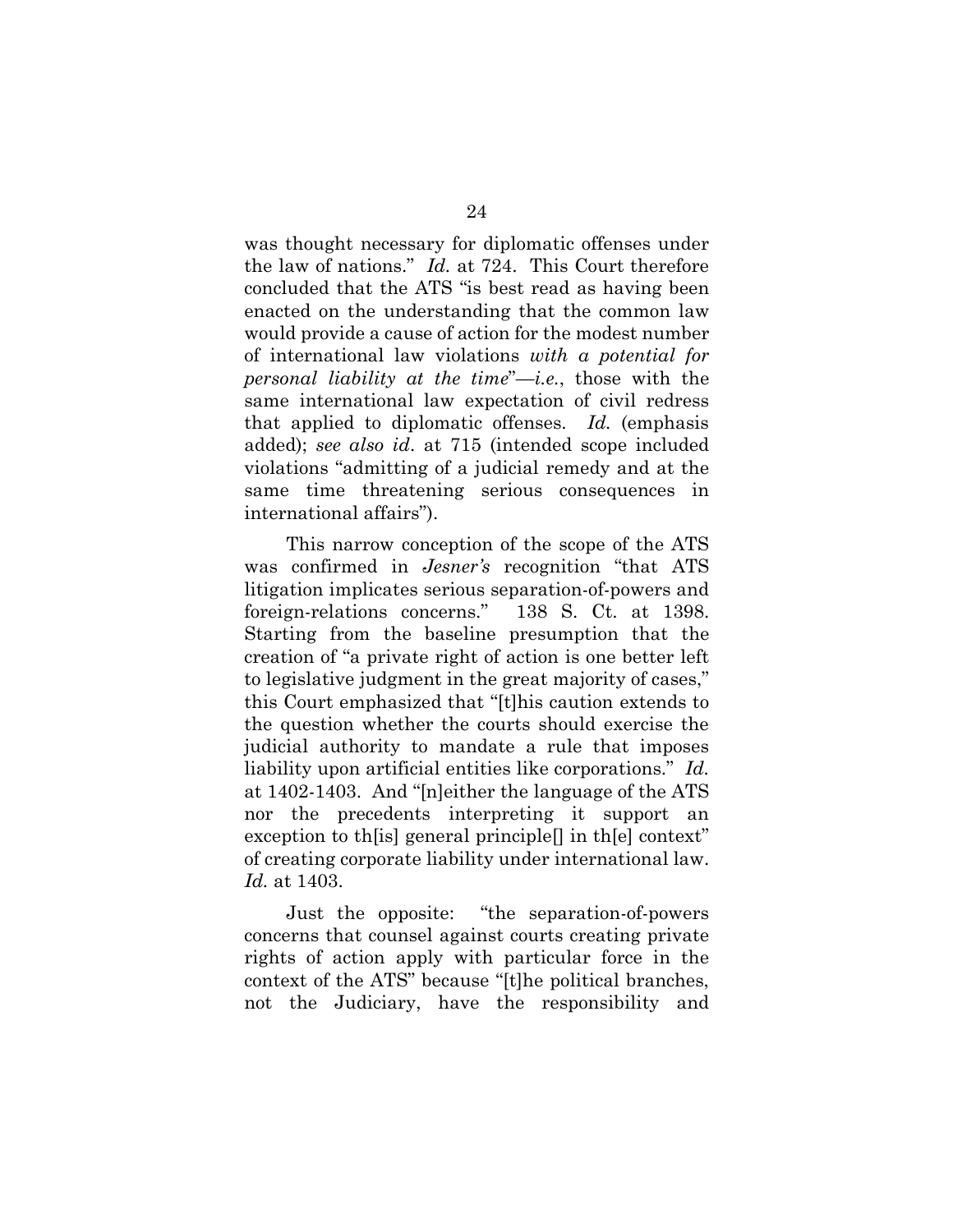was thought necessary for diplomatic offenses under the law of nations." *Id.* at 724. This Court therefore concluded that the ATS "is best read as having been enacted on the understanding that the common law would provide a cause of action for the modest number of international law violations *with a potential for personal liability at the time*"—*i.e.*, those with the same international law expectation of civil redress that applied to diplomatic offenses. *Id.* (emphasis added); *see also id*. at 715 (intended scope included violations "admitting of a judicial remedy and at the same time threatening serious consequences in international affairs").

This narrow conception of the scope of the ATS was confirmed in *Jesner's* recognition "that ATS litigation implicates serious separation-of-powers and foreign-relations concerns." 138 S. Ct. at 1398. Starting from the baseline presumption that the creation of "a private right of action is one better left to legislative judgment in the great majority of cases," this Court emphasized that "[t]his caution extends to the question whether the courts should exercise the judicial authority to mandate a rule that imposes liability upon artificial entities like corporations." *Id.* at 1402-1403. And "[n]either the language of the ATS nor the precedents interpreting it support an exception to the sequeed principle in the context" of creating corporate liability under international law. *Id.* at 1403.

Just the opposite: "the separation-of-powers concerns that counsel against courts creating private rights of action apply with particular force in the context of the ATS" because "[t]he political branches, not the Judiciary, have the responsibility and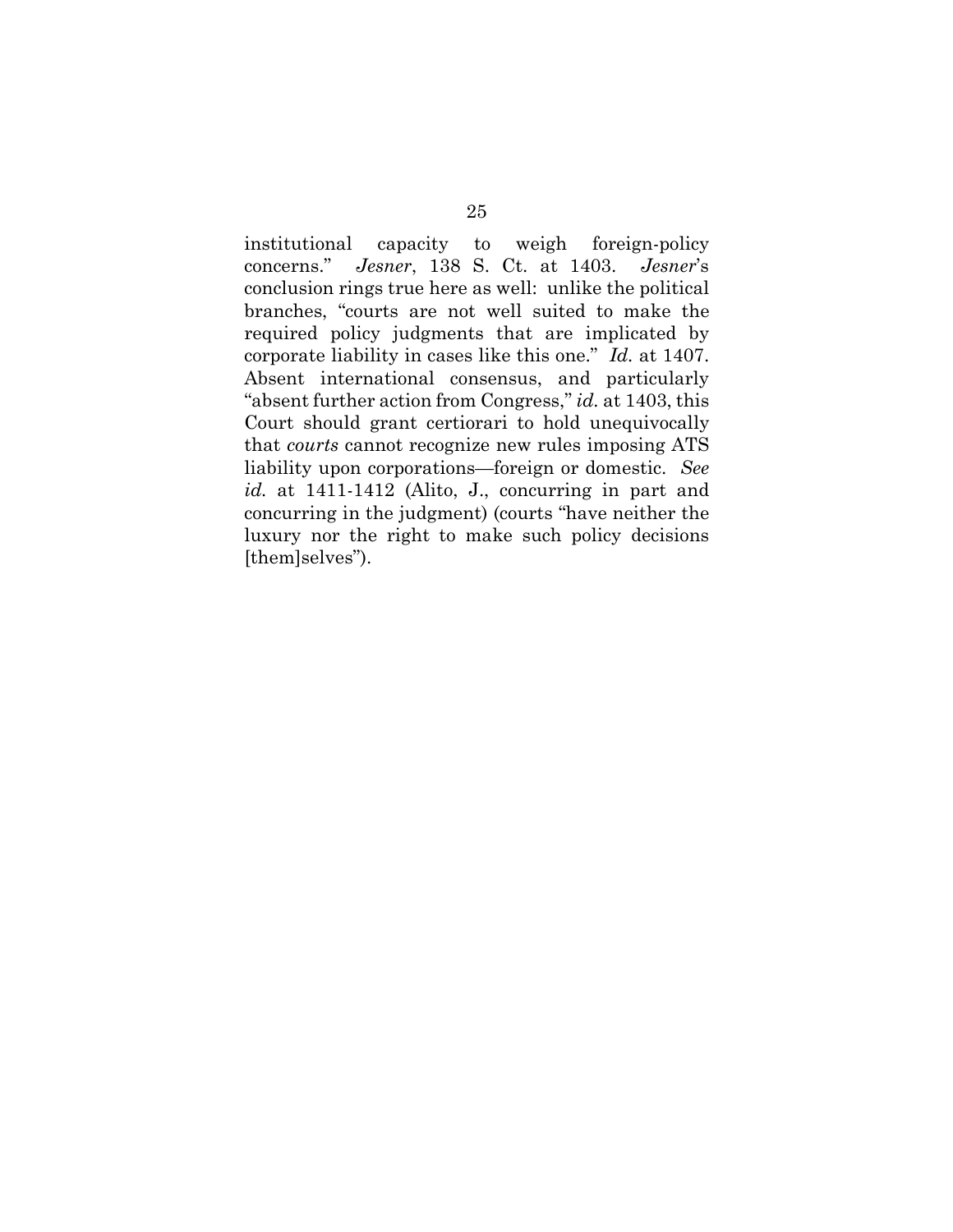institutional capacity to weigh foreign-policy concerns." *Jesner*, 138 S. Ct. at 1403. *Jesner*'s conclusion rings true here as well: unlike the political branches, "courts are not well suited to make the required policy judgments that are implicated by corporate liability in cases like this one." *Id.* at 1407. Absent international consensus, and particularly "absent further action from Congress," *id.* at 1403, this Court should grant certiorari to hold unequivocally that *courts* cannot recognize new rules imposing ATS liability upon corporations—foreign or domestic. *See id.* at 1411-1412 (Alito, J., concurring in part and concurring in the judgment) (courts "have neither the luxury nor the right to make such policy decisions [them]selves").